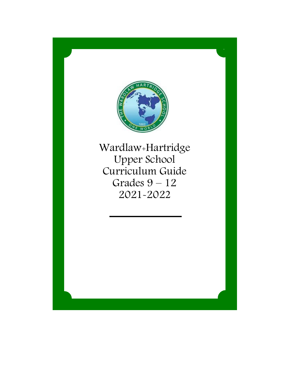

Wardlaw+Hartridge Upper School Curriculum Guide Grades 9 – 12 2021-2022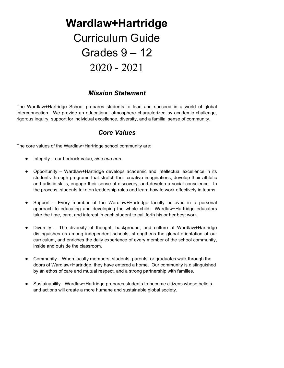# **Wardlaw+Hartridge** Curriculum Guide Grades 9 – 12 2020 - 2021

# *Mission Statement*

The Wardlaw+Hartridge School prepares students to lead and succeed in a world of global interconnection. We provide an educational atmosphere characterized by academic challenge, rigorous inquiry, support for individual excellence, diversity, and a familial sense of community.

# *Core Values*

The core values of the Wardlaw+Hartridge school community are:

- Integrity our bedrock value, *sine qua non*.
- Opportunity Wardlaw+Hartridge develops academic and intellectual excellence in its students through programs that stretch their creative imaginations, develop their athletic and artistic skills, engage their sense of discovery, and develop a social conscience. In the process, students take on leadership roles and learn how to work effectively in teams.
- Support Every member of the Wardlaw+Hartridge faculty believes in a personal approach to educating and developing the whole child. Wardlaw+Hartridge educators take the time, care, and interest in each student to call forth his or her best work.
- Diversity The diversity of thought, background, and culture at Wardlaw+Hartridge distinguishes us among independent schools, strengthens the global orientation of our curriculum, and enriches the daily experience of every member of the school community, inside and outside the classroom.
- Community When faculty members, students, parents, or graduates walk through the doors of Wardlaw+Hartridge, they have entered a home. Our community is distinguished by an ethos of care and mutual respect, and a strong partnership with families.
- Sustainability Wardlaw+Hartridge prepares students to become citizens whose beliefs and actions will create a more humane and sustainable global society.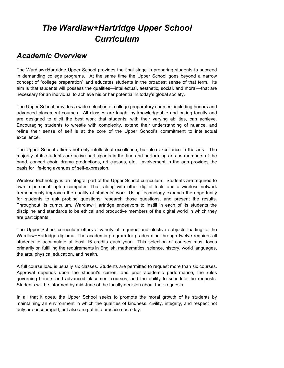# *The Wardlaw+Hartridge Upper School Curriculum*

# *Academic Overview*

The Wardlaw+Hartridge Upper School provides the final stage in preparing students to succeed in demanding college programs. At the same time the Upper School goes beyond a narrow concept of "college preparation" and educates students in the broadest sense of that term. Its aim is that students will possess the qualities—intellectual, aesthetic, social, and moral—that are necessary for an individual to achieve his or her potential in today's global society.

The Upper School provides a wide selection of college preparatory courses, including honors and advanced placement courses. All classes are taught by knowledgeable and caring faculty and are designed to elicit the best work that students, with their varying abilities, can achieve. Encouraging students to wrestle with complexity, extend their understanding of nuance, and refine their sense of self is at the core of the Upper School's commitment to intellectual excellence.

The Upper School affirms not only intellectual excellence, but also excellence in the arts. The majority of its students are active participants in the fine and performing arts as members of the band, concert choir, drama productions, art classes, etc. Involvement in the arts provides the basis for life-long avenues of self-expression.

Wireless technology is an integral part of the Upper School curriculum. Students are required to own a personal laptop computer. That, along with other digital tools and a wireless network tremendously improves the quality of students' work. Using technology expands the opportunity for students to ask probing questions, research those questions, and present the results. Throughout its curriculum, Wardlaw+Hartridge endeavors to instill in each of its students the discipline and standards to be ethical and productive members of the digital world in which they are participants.

The Upper School curriculum offers a variety of required and elective subjects leading to the Wardlaw+Hartridge diploma. The academic program for grades nine through twelve requires all students to accumulate at least 16 credits each year. This selection of courses must focus primarily on fulfilling the requirements in English, mathematics, science, history, world languages, the arts, physical education, and health.

A full course load is usually six classes. Students are permitted to request more than six courses. Approval depends upon the student's current and prior academic performance, the rules governing honors and advanced placement courses, and the ability to schedule the requests. Students will be informed by mid-June of the faculty decision about their requests.

In all that it does, the Upper School seeks to promote the moral growth of its students by maintaining an environment in which the qualities of kindness, civility, integrity, and respect not only are encouraged, but also are put into practice each day.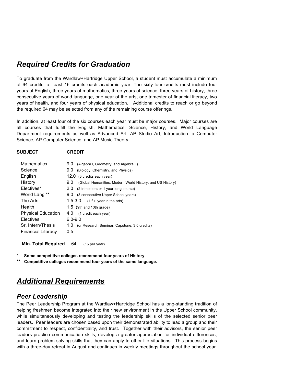# *Required Credits for Graduation*

To graduate from the Wardlaw+Hartridge Upper School, a student must accumulate a minimum of 64 credits, at least 16 credits each academic year. The sixty-four credits must include four years of English, three years of mathematics, three years of science, three years of history, three consecutive years of world language, one year of the arts, one trimester of financial literacy, two years of health, and four years of physical education. Additional credits to reach or go beyond the required 64 may be selected from any of the remaining course offerings.

In addition, at least four of the six courses each year must be major courses. Major courses are all courses that fulfill the English, Mathematics, Science, History, and World Language Department requirements as well as Advanced Art, AP Studio Art, Introduction to Computer Science, AP Computer Science, and AP Music Theory.

| <b>CREDIT</b><br><b>SUBJECT</b> |
|---------------------------------|
|                                 |

| urcull |  |
|--------|--|
|        |  |
|        |  |
|        |  |

| <b>Mathematics</b>        | 9.0<br>(Algebra I, Geometry, and Algebra II)                     |
|---------------------------|------------------------------------------------------------------|
| Science                   | 9.0<br>(Biology, Chemistry, and Physics)                         |
| English                   | 12.0 (3 credits each year)                                       |
| History                   | 9.0<br>(Global Humanities, Modern World History, and US History) |
| Electives*                | 2.0<br>(2 trimesters or 1 year-long course)                      |
| World Lang **             | 9.0 (3 consecutive Upper School years)                           |
| The Arts                  | $1.5 - 3.0$<br>(1 full year in the arts)                         |
| Health                    | 1.5 (9th and 10th grade)                                         |
| <b>Physical Education</b> | 4.0<br>(1 credit each year)                                      |
| Electives                 | $6.0 - 9.0$                                                      |
| Sr. Intern/Thesis         | 1.0<br>(or Research Seminar: Capstone, 3.0 credits)              |
| <b>Financial Literacy</b> | 0.5                                                              |
|                           |                                                                  |

**Min. Total Required** 64 (16 per year)

- **\* Some competitive colleges recommend four years of History**
- **\*\* Competitive colleges recommend four years of the same language.**

# *Additional Requirements*

# *Peer Leadership*

The Peer Leadership Program at the Wardlaw+Hartridge School has a long-standing tradition of helping freshmen become integrated into their new environment in the Upper School community, while simultaneously developing and testing the leadership skills of the selected senior peer leaders. Peer leaders are chosen based upon their demonstrated ability to lead a group and their commitment to respect, confidentiality, and trust. Together with their advisors, the senior peer leaders practice communication skills, develop a greater appreciation for individual differences, and learn problem-solving skills that they can apply to other life situations. This process begins with a three-day retreat in August and continues in weekly meetings throughout the school year.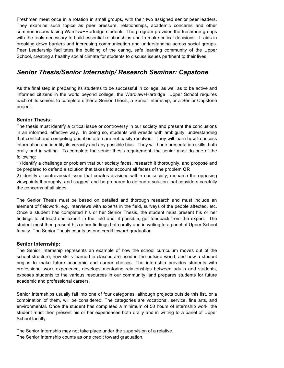Freshmen meet once in a rotation in small groups, with their two assigned senior peer leaders. They examine such topics as peer pressure, relationships, academic concerns and other common issues facing Wardlaw+Hartridge students. The program provides the freshmen groups with the tools necessary to build essential relationships and to make critical decisions. It aids in breaking down barriers and increasing communication and understanding across social groups. Peer Leadership facilitates the building of the caring, safe learning community of the Upper School, creating a healthy social climate for students to discuss issues pertinent to their lives.

# *Senior Thesis/Senior Internship/ Research Seminar: Capstone*

As the final step in preparing its students to be successful in college, as well as to be active and informed citizens in the world beyond college, the Wardlaw+Hartridge Upper School requires each of its seniors to complete either a Senior Thesis, a Senior Internship, or a Senior Capstone project.

# **Senior Thesis:**

The thesis must identify a critical issue or controversy in our society and present the conclusions in an informed, effective way. In doing so, students will wrestle with ambiguity, understanding that conflict and competing priorities often are not easily resolved. They will learn how to access information and identify its veracity and any possible bias. They will hone presentation skills, both orally and in writing. To complete the senior thesis requirement, the senior must do one of the following:

1) identify a challenge or problem that our society faces, research it thoroughly, and propose and be prepared to defend a solution that takes into account all facets of the problem **OR**

2) identify a controversial issue that creates divisions within our society, research the opposing viewpoints thoroughly, and suggest and be prepared to defend a solution that considers carefully the concerns of all sides.

The Senior Thesis must be based on detailed and thorough research and must include an element of fieldwork, e.g. interviews with experts in the field, surveys of the people affected, etc. Once a student has completed his or her Senior Thesis, the student must present his or her findings to at least one expert in the field and, if possible, get feedback from the expert. The student must then present his or her findings both orally and in writing to a panel of Upper School faculty. The Senior Thesis counts as one credit toward graduation.

# **Senior Internship:**

The Senior Internship represents an example of how the school curriculum moves out of the school structure, how skills learned in classes are used in the outside world, and how a student begins to make future academic and career choices. The internship provides students with professional work experience, develops mentoring relationships between adults and students, exposes students to the various resources in our community, and prepares students for future academic and professional careers.

Senior Internships usually fall into one of four categories, although projects outside this list, or a combination of them, will be considered. The categories are vocational, service, fine arts, and environmental. Once the student has completed a minimum of 50 hours of internship work, the student must then present his or her experiences both orally and in writing to a panel of Upper School faculty.

The Senior Internship may not take place under the supervision of a relative. The Senior Internship counts as one credit toward graduation.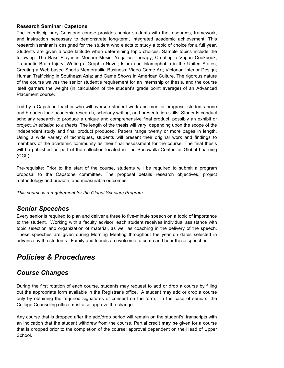# **Research Seminar: Capstone**

The interdisciplinary Capstone course provides senior students with the resources, framework, and instruction necessary to demonstrate long-term, integrated academic achievement. This research seminar is designed for the student who elects to study a topic of choice for a full year. Students are given a wide latitude when determining topic choices. Sample topics include the following: The Bass Player in Modern Music; Yoga as Therapy; Creating a Vegan Cookbook; Traumatic Brain Injury; Writing a Graphic Novel; Islam and Islamophobia in the United States; Creating a Web-based Sports Memorabilia Business; Video Game Art; Victorian Interior Design; Human Trafficking in Southeast Asia; and Game Shows in American Culture. The rigorous nature of the course waives the senior student's requirement for an internship or thesis, and the course itself garners the weight (in calculation of the student's grade point average) of an Advanced Placement course.

Led by a Capstone teacher who will oversee student work and monitor progress, students hone and broaden their academic research, scholarly writing, and presentation skills. Students conduct scholarly research to produce a unique and comprehensive final product, possibly an exhibit or project, *in addition to a thesis*. The length of the thesis will vary, depending upon the scope of the independent study and final product produced. Papers range twenty or more pages in length. Using a wide variety of techniques, students will present their original work and findings to members of the academic community as their final assessment for the course. The final thesis will be published as part of the collection located in The Sonawalla Center for Global Learning (CGL).

Pre-requisite: Prior to the start of the course, students will be required to submit a program proposal to the Capstone committee. The proposal details research objectives, project methodology and breadth, and measurable outcomes.

*This course is a requirement for the Global Scholars Program.*

# *Senior Speeches*

Every senior is required to plan and deliver a three to five-minute speech on a topic of importance to the student. Working with a faculty advisor, each student receives individual assistance with topic selection and organization of material, as well as coaching in the delivery of the speech. These speeches are given during Morning Meeting throughout the year on dates selected in advance by the students. Family and friends are welcome to come and hear these speeches.

# *Policies & Procedures*

# *Course Changes*

During the first rotation of each course, students may request to add or drop a course by filling out the appropriate form available in the Registrar's office. A student may add or drop a course only by obtaining the required signatures of consent on the form. In the case of seniors, the College Counseling office must also approve the change.

Any course that is dropped after the add/drop period will remain on the student's' transcripts with an indication that the student withdrew from the course. Partial credit **may be** given for a course that is dropped prior to the completion of the course; approval dependent on the Head of Upper School.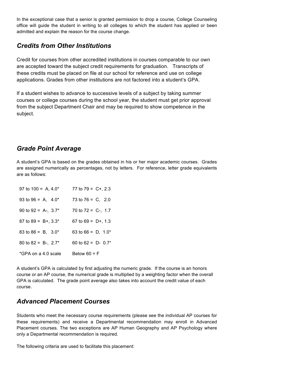In the exceptional case that a senior is granted permission to drop a course, College Counseling office will guide the student in writing to all colleges to which the student has applied or been admitted and explain the reason for the course change.

# *Credits from Other Institutions*

Credit for courses from other accredited institutions in courses comparable to our own are accepted toward the subject credit requirements for graduation. Transcripts of these credits must be placed on file at our school for reference and use on college applications. Grades from other institutions are not factored into a student's GPA.

If a student wishes to advance to successive levels of a subject by taking summer courses or college courses during the school year, the student must get prior approval from the subject Department Chair and may be required to show competence in the subject.

# *Grade Point Average*

A student's GPA is based on the grades obtained in his or her major academic courses. Grades are assigned numerically as percentages, not by letters. For reference, letter grade equivalents are as follows:

| 97 to $100 = A$ , $4.0*$  | 77 to $79 = C + 2.3$   |
|---------------------------|------------------------|
| 93 to 96 = A, $4.0^*$     | 73 to $76 = C$ , 2.0   |
| 90 to 92 = A-, $3.7^*$    | 70 to $72 = C$ -, 1.7  |
| 87 to 89 = $B^{+}$ , 3.3* | 67 to $69 = D+, 1.3$   |
| 83 to 86 = B, $3.0^*$     | 63 to 66 = $D$ , 1.0*  |
| 80 to 82 = B-, $2.7^*$    | 60 to 62 = $D - 0.7^*$ |
| *GPA on a 4.0 scale       | Below $60 = F$         |

A student's GPA is calculated by first adjusting the numeric grade. If the course is an honors course or an AP course, the numerical grade is multiplied by a weighting factor when the overall GPA is calculated. The grade point average also takes into account the credit value of each course.

# *Advanced Placement Courses*

Students who meet the necessary course requirements (please see the individual AP courses for these requirements) and receive a Departmental recommendation may enroll in Advanced Placement courses. The two exceptions are AP Human Geography and AP Psychology where only a Departmental recommendation is required.

The following criteria are used to facilitate this placement: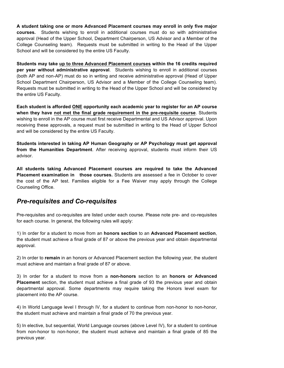**A student taking one or more Advanced Placement courses may enroll in only five major courses***.* Students wishing to enroll in additional courses must do so with administrative approval (Head of the Upper School, Department Chairperson, US Advisor and a Member of the College Counseling team). Requests must be submitted in writing to the Head of the Upper School and will be considered by the entire US Faculty.

**Students may take up to three Advanced Placement courses within the 16 credits required per year without administrative approval**. Students wishing to enroll in additional courses (both AP and non-AP) must do so in writing and receive administrative approval (Head of Upper School Department Chairperson, US Advisor and a Member of the College Counseling team). Requests must be submitted in writing to the Head of the Upper School and will be considered by the entire US Faculty.

**Each student is afforded ONE opportunity each academic year to register for an AP course when they have not met the final grade requirement in the pre-requisite course**. Students wishing to enroll in the AP course must first receive Departmental and US Advisor approval. Upon receiving these approvals, a request must be submitted in writing to the Head of Upper School and will be considered by the entire US Faculty.

**Students interested in taking AP Human Geography or AP Psychology must get approval from the Humanities Department**. After receiving approval, students must inform their US advisor.

**All students taking Advanced Placement courses are required to take the Advanced Placement examination in those courses.** Students are assessed a fee in October to cover the cost of the AP test. Families eligible for a Fee Waiver may apply through the College Counseling Office.

# *Pre-requisites and Co-requisites*

Pre-requisites and co-requisites are listed under each course. Please note pre- and co-requisites for each course. In general, the following rules will apply:

1) In order for a student to move from an **honors section** to an **Advanced Placement section**, the student must achieve a final grade of 87 or above the previous year and obtain departmental approval.

2) In order to **remain** in an honors or Advanced Placement section the following year, the student must achieve and maintain a final grade of 87 or above.

3) In order for a student to move from a **non-honors** section to an **honors or Advanced Placement** section, the student must achieve a final grade of 93 the previous year and obtain departmental approval. Some departments may require taking the Honors level exam for placement into the AP course.

4) In World Language level I through IV, for a student to continue from non-honor to non-honor, the student must achieve and maintain a final grade of 70 the previous year.

5) In elective, but sequential, World Language courses (above Level IV), for a student to continue from non-honor to non-honor, the student must achieve and maintain a final grade of 85 the previous year.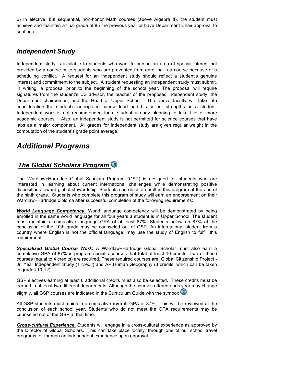6) In elective, but sequential, non-honor Math courses (above Algebra II), the student must achieve and maintain a final grade of 85 the previous year or have Department Chair approval to continue.

# *Independent Study*

Independent study is available to students who want to pursue an area of special interest not provided by a course or to students who are prevented from enrolling in a course because of a scheduling conflict. A request for an independent study should reflect a student's genuine interest and commitment to the subject. A student requesting an independent study must submit, in writing, a proposal prior to the beginning of the school year. The proposal will require signatures from the student's US advisor, the teacher of the proposed independent study, the Department chairperson, and the Head of Upper School. The above faculty will take into consideration the student's anticipated course load and his or her strengths as a student. Independent work is not recommended for a student already planning to take five or more academic courses. Also, an independent study is not permitted for science courses that have labs as a major component. All grades for independent study are given regular weight in the computation of the student's grade point average.

# *Additional Programs*

# *The Global Scholars Program*

The Wardlaw+Hartridge Global Scholars Program (GSP) is designed for students who are interested in learning about current international challenges while demonstrating positive dispositions toward global stewardship. Students can elect to enroll in this program at the end of the ninth grade. Students who complete this program of study will earn an endorsement on their Wardlaw+Hartridge diploma after successful completion of the following requirements:

*World Language Competency***:** World language competency will be demonstrated by being enrolled in the same world language for all four years a student is in Upper School. The student must maintain a cumulative language GPA of at least 87%. Students below an 87% at the conclusion of the 10th grade may be counseled out of GSP. An international student from a country where English is not the official language, may use the study of English to fulfill this requirement.

*Specialized Global Course Work***:** A Wardlaw+Hartridge Global Scholar must also earn a cumulative GPA of 87% in program specific courses that total at least 10 credits. Two of these courses (equal to 4 credits) are required. These required courses are: Global Citizenship Project - Jr. Year Independent Study (1 credit) and AP Human Geography (3 credits, which can be taken in grades 10-12)

GSP electives earning at least 6 additional credits must also be selected. These credits must be earned in at least two different departments. Although the courses offered each year may change slightly, all GSP courses are indicated in the Curriculum Guide with the symbol:

All GSP students must maintain a cumulative **overall** GPA of 87%. This will be reviewed at the conclusion of each school year. Students who do not meet the GPA requirements may be counseled out of the GSP at that time.

*Cross-cultural Experience*: Students will engage in a cross-cultural experience as approved by the Director of Global Scholars. This can take place locally, through one of our school travel programs, or through an independent experience upon approval.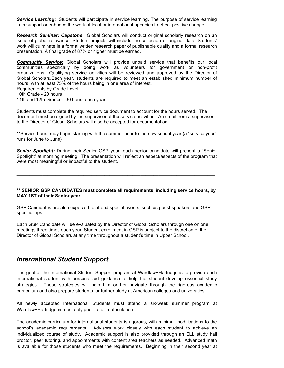*Service Learning***:** Students will participate in service learning. The purpose of service learning is to support or enhance the work of local or international agencies to effect positive change.

*Research Seminar: Capstone***:** Global Scholars will conduct original scholarly research on an issue of global relevance. Student projects will include the collection of original data. Students' work will culminate in a formal written research paper of publishable quality and a formal research presentation. A final grade of 87% or higher must be earned.

*Community Service***:** Global Scholars will provide unpaid service that benefits our local communities specifically by doing work as volunteers for government or non-profit organizations. Qualifying service activities will be reviewed and approved by the Director of Global Scholars.Each year, students are required to meet an established minimum number of hours, with at least 75% of the hours being in one area of interest.

Requirements by Grade Level:

10th Grade - 20 hours

 $\overline{\phantom{a}}$ 

11th and 12th Grades - 30 hours each year

Students must complete the required service document to account for the hours served. The document must be signed by the supervisor of the service activities. An email from a supervisor to the Director of Global Scholars will also be accepted for documentation.

\*\*Service hours may begin starting with the summer prior to the new school year (a "service year" runs for June to June)

*Senior Spotlight:* During their Senior GSP year, each senior candidate will present a "Senior Spotlight" at morning meeting. The presentation will reflect an aspect/aspects of the program that were most meaningful or impactful to the student.

**\*\* SENIOR GSP CANDIDATES must complete all requirements, including service hours, by MAY 1ST of their Senior year.**

 $\mathcal{L}_\mathcal{L} = \{ \mathcal{L}_\mathcal{L} = \{ \mathcal{L}_\mathcal{L} = \{ \mathcal{L}_\mathcal{L} = \{ \mathcal{L}_\mathcal{L} = \{ \mathcal{L}_\mathcal{L} = \{ \mathcal{L}_\mathcal{L} = \{ \mathcal{L}_\mathcal{L} = \{ \mathcal{L}_\mathcal{L} = \{ \mathcal{L}_\mathcal{L} = \{ \mathcal{L}_\mathcal{L} = \{ \mathcal{L}_\mathcal{L} = \{ \mathcal{L}_\mathcal{L} = \{ \mathcal{L}_\mathcal{L} = \{ \mathcal{L}_\mathcal{$ 

GSP Candidates are also expected to attend special events, such as guest speakers and GSP specific trips.

Each GSP Candidate will be evaluated by the Director of Global Scholars through one on one meetings three times each year. Student enrollment in GSP is subject to the discretion of the Director of Global Scholars at any time throughout a student's time in Upper School.

# *International Student Support*

The goal of the International Student Support program at Wardlaw+Hartridge is to provide each international student with personalized guidance to help the student develop essential study strategies. These strategies will help him or her navigate through the rigorous academic curriculum and also prepare students for further study at American colleges and universities.

All newly accepted International Students must attend a six-week summer program at Wardlaw+Hartridge immediately prior to fall matriculation.

The academic curriculum for international students is rigorous, with minimal modifications to the school's academic requirements. Advisors work closely with each student to achieve an individualized course of study. Academic support is also provided through an ELL study hall proctor, peer tutoring, and appointments with content area teachers as needed. Advanced math is available for those students who meet the requirements. Beginning in their second year at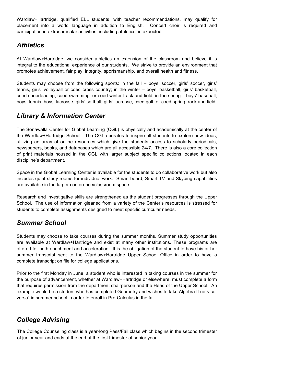Wardlaw+Hartridge, qualified ELL students, with teacher recommendations, may qualify for placement into a world language in addition to English. Concert choir is required and participation in extracurricular activities, including athletics, is expected.

# *Athletics*

At Wardlaw+Hartridge, we consider athletics an extension of the classroom and believe it is integral to the educational experience of our students. We strive to provide an environment that promotes achievement, fair play, integrity, sportsmanship, and overall health and fitness.

Students may choose from the following sports: in the fall – boys' soccer, girls' soccer, girls' tennis, girls' volleyball or coed cross country; in the winter – boys' basketball, girls' basketball, coed cheerleading, coed swimming, or coed winter track and field; in the spring – boys' baseball, boys' tennis, boys' lacrosse, girls' softball, girls' lacrosse, coed golf, or coed spring track and field.

# *Library & Information Center*

The Sonawalla Center for Global Learning (CGL) is physically and academically at the center of the Wardlaw+Hartridge School. The CGL operates to inspire all students to explore new ideas, utilizing an array of online resources which give the students access to scholarly periodicals, newspapers, books, and databases which are all accessible 24/7. There is also a core collection of print materials housed in the CGL with larger subject specific collections located in each discipline's department.

Space in the Global Learning Center is available for the students to do collaborative work but also includes quiet study rooms for individual work. Smart board, Smart TV and Skyping capabilities are available in the larger conference/classroom space.

Research and investigative skills are strengthened as the student progresses through the Upper School. The use of information gleaned from a variety of the Center's resources is stressed for students to complete assignments designed to meet specific curricular needs.

# *Summer School*

Students may choose to take courses during the summer months. Summer study opportunities are available at Wardlaw+Hartridge and exist at many other institutions*.* These programs are offered for both enrichment and acceleration. It is the obligation of the student to have his or her summer transcript sent to the Wardlaw+Hartridge Upper School Office in order to have a complete transcript on file for college applications.

Prior to the first Monday in June, a student who is interested in taking courses in the summer for the purpose of advancement, whether at Wardlaw+Hartridge or elsewhere, must complete a form that requires permission from the department chairperson and the Head of the Upper School. An example would be a student who has completed Geometry and wishes to take Algebra II (or viceversa) in summer school in order to enroll in Pre-Calculus in the fall.

# *College Advising*

The College Counseling class is a year-long Pass/Fail class which begins in the second trimester of junior year and ends at the end of the first trimester of senior year.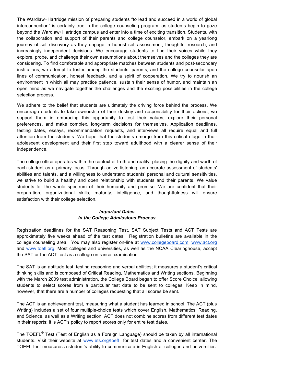The Wardlaw+Hartridge mission of preparing students "to lead and succeed in a world of global interconnection" is certainly true in the college counseling program, as students begin to gaze beyond the Wardlaw+Hartridge campus and enter into a time of exciting transition. Students, with the collaboration and support of their parents and college counselor, embark on a yearlong journey of self-discovery as they engage in honest self-assessment, thoughtful research, and increasingly independent decisions. We encourage students to find their voices while they explore, probe, and challenge their own assumptions about themselves and the colleges they are considering. To find comfortable and appropriate matches between students and post-secondary institutions, we attempt to foster among the students, parents, and the college counselor open lines of communication, honest feedback, and a spirit of cooperation. We try to nourish an environment in which all may practice patience, sustain their sense of humor, and maintain an open mind as we navigate together the challenges and the exciting possibilities in the college selection process.

We adhere to the belief that students are ultimately the driving force behind the process. We encourage students to take ownership of their destiny and responsibility for their actions; we support them in embracing this opportunity to test their values, explore their personal preferences, and make complex, long-term decisions for themselves. Application deadlines, testing dates, essays, recommendation requests, and interviews all require equal and full attention from the students. We hope that the students emerge from this critical stage in their adolescent development and their first step toward adulthood with a clearer sense of their independence.

The college office operates within the context of truth and reality, placing the dignity and worth of each student as a primary focus. Through active listening, an accurate assessment of students' abilities and talents, and a willingness to understand students' personal and cultural sensitivities, we strive to build a healthy and open relationship with students and their parents. We value students for the whole spectrum of their humanity and promise. We are confident that their preparation, organizational skills, maturity, intelligence, and thoughtfulness will ensure satisfaction with their college selection.

### *Important Dates in the College Admissions Process*

Registration deadlines for the SAT Reasoning Test, SAT Subject Tests and ACT Tests are approximately five weeks ahead of the test dates. Registration bulletins are available in the college counseling area. You may also register on-line at www.collegeboard.com, www.act.org and www.toefl.org. Most colleges and universities, as well as the NCAA Clearinghouse, accept the SAT or the ACT test as a college entrance examination.

The SAT is an aptitude test, testing reasoning and verbal abilities; it measures a student's critical thinking skills and is composed of Critical Reading, Mathematics and Writing sections. Beginning with the March 2009 test administration, the College Board began to offer Score Choice, allowing students to select scores from a particular test date to be sent to colleges. Keep in mind, however, that there are a number of colleges requesting that all scores be sent.

The ACT is an achievement test, measuring what a student has learned in school. The ACT (plus Writing) includes a set of four multiple-choice tests which cover English, Mathematics, Reading, and Science, as well as a Writing section. ACT does not combine scores from different test dates in their reports; it is ACT's policy to report scores only for entire test dates.

The TOEFL® Test (Test of English as a Foreign Language) should be taken by all international students. Visit their website at www.ets.org/toefl for test dates and a convenient center. The TOEFL test measures a student's ability to communicate in English at colleges and universities.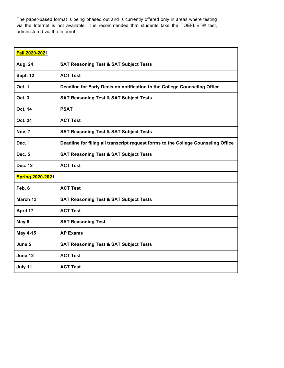The paper-based format is being phased out and is currently offered only in areas where testing via the Internet is not available. It is recommended that students take the TOEFLiBT® test, administered via the Internet.

| Fall 2020-2021          |                                                                                   |
|-------------------------|-----------------------------------------------------------------------------------|
| Aug. 24                 | <b>SAT Reasoning Test &amp; SAT Subject Tests</b>                                 |
| <b>Sept. 12</b>         | <b>ACT Test</b>                                                                   |
| <b>Oct. 1</b>           | Deadline for Early Decision notification to the College Counseling Office         |
| Oct. 3                  | <b>SAT Reasoning Test &amp; SAT Subject Tests</b>                                 |
| Oct. 14                 | <b>PSAT</b>                                                                       |
| Oct. 24                 | <b>ACT Test</b>                                                                   |
| Nov. 7                  | <b>SAT Reasoning Test &amp; SAT Subject Tests</b>                                 |
| Dec. 1                  | Deadline for filing all transcript request forms to the College Counseling Office |
| Dec. 5                  | <b>SAT Reasoning Test &amp; SAT Subject Tests</b>                                 |
| Dec. 12                 | <b>ACT Test</b>                                                                   |
| <b>Spring 2020-2021</b> |                                                                                   |
| Feb. 6                  | <b>ACT Test</b>                                                                   |
| March 13                | <b>SAT Reasoning Test &amp; SAT Subject Tests</b>                                 |
| April 17                | <b>ACT Test</b>                                                                   |
| May 8                   | <b>SAT Reasoning Test</b>                                                         |
| May 4-15                | <b>AP Exams</b>                                                                   |
| June 5                  | <b>SAT Reasoning Test &amp; SAT Subject Tests</b>                                 |
| June 12                 | <b>ACT Test</b>                                                                   |
| July 11                 | <b>ACT Test</b>                                                                   |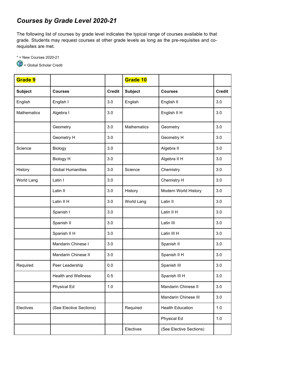# *Courses by Grade Level 2020-21*

The following list of courses by grade level indicates the typical range of courses available to that grade. Students may request courses at other grade levels as long as the pre-requisites and corequisites are met.

\* = New Courses 2020-21

= Global Scholar Credit

| Grade 9            |                            |               | Grade 10       |                         |               |
|--------------------|----------------------------|---------------|----------------|-------------------------|---------------|
| <b>Subject</b>     | <b>Courses</b>             | <b>Credit</b> | <b>Subject</b> | <b>Courses</b>          | <b>Credit</b> |
| English            | English I                  | 3.0           | English        | English II              | 3.0           |
| <b>Mathematics</b> | Algebra I                  | 3.0           |                | English II H            | 3.0           |
|                    | Geometry                   | 3.0           | Mathematics    | Geometry                | 3.0           |
|                    | Geometry H                 | 3.0           |                | Geometry H              | 3.0           |
| Science            | Biology                    | 3.0           |                | Algebra II              | 3.0           |
|                    | <b>Biology H</b>           | 3.0           |                | Algebra II H            | 3.0           |
| History            | <b>Global Humanities</b>   | 3.0           | Science        | Chemistry               | 3.0           |
| World Lang         | Latin I                    | 3.0           |                | Chemistry H             | 3.0           |
|                    | Latin II                   | 3.0           | History        | Modern World History    | 3.0           |
|                    | Latin II H                 | 3.0           | World Lang     | Latin II                | 3.0           |
|                    | Spanish I                  | 3.0           |                | Latin II H              | 3.0           |
|                    | Spanish II                 | 3.0           |                | Latin III               | 3.0           |
|                    | Spanish II H               | 3.0           |                | Latin III H             | 3.0           |
|                    | Mandarin Chinese I         | 3.0           |                | Spanish II              | 3.0           |
|                    | Mandarin Chinese II        | 3.0           |                | Spanish II H            | 3.0           |
| Required           | Peer Leadership            | 0.0           |                | Spanish III             | 3.0           |
|                    | <b>Health and Wellness</b> | 0.5           |                | Spanish III H           | 3.0           |
|                    | Physical Ed                | 1.0           |                | Mandarin Chinese II     | 3.0           |
|                    |                            |               |                | Mandarin Chinese III    | 3.0           |
| Electives          | (See Elective Sections)    |               | Required       | <b>Health Education</b> | 1.0           |
|                    |                            |               |                | Physical Ed             | 1.0           |
|                    |                            |               | Electives      | (See Elective Sections) |               |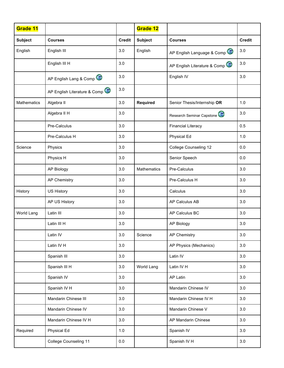| Grade 11       |                              |               | Grade 12        |                                           |               |
|----------------|------------------------------|---------------|-----------------|-------------------------------------------|---------------|
| <b>Subject</b> | <b>Courses</b>               | <b>Credit</b> | <b>Subject</b>  | <b>Courses</b>                            | <b>Credit</b> |
| English        | English III                  | 3.0           | English         | AP English Language & Comp                | 3.0           |
|                | English III H                | 3.0           |                 | AP English Literature & Comp              | 3.0           |
|                | AP English Lang & Comp       | 3.0           |                 | English IV                                | 3.0           |
|                | AP English Literature & Comp | 3.0           |                 |                                           |               |
| Mathematics    | Algebra II                   | 3.0           | <b>Required</b> | Senior Thesis/Internship OR               | 1.0           |
|                | Algebra II H                 | 3.0           |                 | Research Seminar Capstone <sup>(19)</sup> | 3.0           |
|                | Pre-Calculus                 | 3.0           |                 | <b>Financial Literacy</b>                 | 0.5           |
|                | Pre-Calculus H               | 3.0           |                 | Physical Ed                               | 1.0           |
| Science        | Physics                      | 3.0           |                 | <b>College Counseling 12</b>              | 0.0           |
|                | Physics H                    | 3.0           |                 | Senior Speech                             | 0.0           |
|                | <b>AP Biology</b>            | 3.0           | Mathematics     | Pre-Calculus                              | 3.0           |
|                | <b>AP Chemistry</b>          | 3.0           |                 | Pre-Calculus H                            | 3.0           |
| History        | US History                   | 3.0           |                 | Calculus                                  | 3.0           |
|                | AP US History                | 3.0           |                 | AP Calculus AB                            | 3.0           |
| World Lang     | Latin III                    | 3.0           |                 | AP Calculus BC                            | 3.0           |
|                | Latin III H                  | 3.0           |                 | <b>AP Biology</b>                         | 3.0           |
|                | Latin IV                     | 3.0           | Science         | <b>AP Chemistry</b>                       | 3.0           |
|                | Latin IV H                   | 3.0           |                 | AP Physics (Mechanics)                    | 3.0           |
|                | Spanish III                  | $3.0\,$       |                 | Latin IV                                  | 3.0           |
|                | Spanish III H                | 3.0           | World Lang      | Latin IV H                                | 3.0           |
|                | Spanish IV                   | 3.0           |                 | AP Latin                                  | 3.0           |
|                | Spanish IV H                 | 3.0           |                 | Mandarin Chinese IV                       | 3.0           |
|                | Mandarin Chinese III         | 3.0           |                 | Mandarin Chinese IV H                     | 3.0           |
|                | Mandarin Chinese IV          | 3.0           |                 | Mandarin Chinese V                        | 3.0           |
|                | Mandarin Chinese IV H        | 3.0           |                 | AP Mandarin Chinese                       | 3.0           |
| Required       | Physical Ed                  | $1.0$         |                 | Spanish IV                                | 3.0           |
|                | College Counseling 11        | $0.0\,$       |                 | Spanish IV H                              | 3.0           |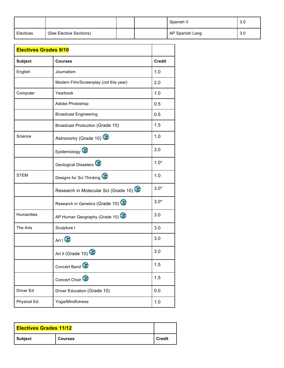|           |                         |  | Spanish V       | 3.0 |
|-----------|-------------------------|--|-----------------|-----|
| Electives | (See Elective Sections) |  | AP Spanish Lang | 3.0 |

| <b>Credit</b>                                  |
|------------------------------------------------|
|                                                |
| 1.0                                            |
| Modern Film/Screenplay (not this year)<br>2.0  |
| 1.0                                            |
| 0.5                                            |
| 0.5                                            |
| 1.5                                            |
| 1.0                                            |
| 3.0                                            |
| $1.0*$                                         |
| 1.0                                            |
| $3.0*$<br>Research in Molecular Sci (Grade 10) |
| $3.0*$<br>Research in Genetics (Grade 10)      |
| 3.0<br>AP Human Geography (Grade 10)           |
| 3.0                                            |
| 3.0                                            |
| 3.0                                            |
| 1.5                                            |
| 1.5                                            |
| 0.0                                            |
| 1.0                                            |
| <b>Broadcast Production (Grade 10)</b>         |

| <b>Electives Grades 11/12</b> |                |               |
|-------------------------------|----------------|---------------|
| Subject                       | <b>Courses</b> | <b>Credit</b> |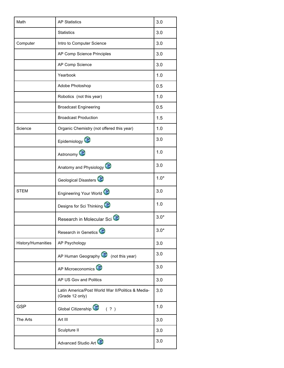| Math               | <b>AP Statistics</b>                                                 | 3.0    |
|--------------------|----------------------------------------------------------------------|--------|
|                    | <b>Statistics</b>                                                    | 3.0    |
| Computer           | Intro to Computer Science                                            | 3.0    |
|                    | AP Comp Science Principles                                           | 3.0    |
|                    | AP Comp Science                                                      | 3.0    |
|                    | Yearbook                                                             | 1.0    |
|                    | Adobe Photoshop                                                      | 0.5    |
|                    | Robotics (not this year)                                             | 1.0    |
|                    | <b>Broadcast Engineering</b>                                         | 0.5    |
|                    | <b>Broadcast Production</b>                                          | 1.5    |
| Science            | Organic Chemistry (not offered this year)                            | 1.0    |
|                    | Epidemiology                                                         | 3.0    |
|                    | Astronomy                                                            | 1.0    |
|                    | Anatomy and Physiology                                               | 3.0    |
|                    | Geological Disasters                                                 | $1.0*$ |
| <b>STEM</b>        | Engineering Your World                                               | 3.0    |
|                    | Designs for Sci Thinking                                             | 1.0    |
|                    | Research in Molecular Sci                                            | $3.0*$ |
|                    | Research in Genetics                                                 | $3.0*$ |
| History/Humanities | AP Psychology                                                        | 3.0    |
|                    | AP Human Geography (not this year)                                   | 3.0    |
|                    | AP Microeconomics                                                    | 3.0    |
|                    | AP US Gov and Politics                                               | 3.0    |
|                    | Latin America/Post World War II/Politics & Media-<br>(Grade 12 only) | 3.0    |
| <b>GSP</b>         | Global Citizenship <sup>(20</sup> (?)                                | 1.0    |
| The Arts           | Art III                                                              | 3.0    |
|                    | Sculpture II                                                         | 3.0    |
|                    | Advanced Studio Art                                                  | 3.0    |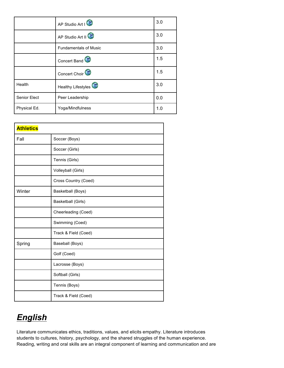|              | AP Studio Art I              | 3.0 |
|--------------|------------------------------|-----|
|              | AP Studio Art II             | 3.0 |
|              | <b>Fundamentals of Music</b> | 3.0 |
|              | Concert Band                 | 1.5 |
|              | Concert Choir <sup>(2)</sup> | 1.5 |
| Health       | Healthy Lifestyles           | 3.0 |
| Senior Elect | Peer Leadership              | 0.0 |
| Physical Ed. | Yoga/Mindfulness             | 1.0 |

| <b>Athletics</b> |                      |
|------------------|----------------------|
| Fall             | Soccer (Boys)        |
|                  | Soccer (Girls)       |
|                  | Tennis (Girls)       |
|                  | Volleyball (Girls)   |
|                  | Cross Country (Coed) |
| Winter           | Basketball (Boys)    |
|                  | Basketball (Girls)   |
|                  | Cheerleading (Coed)  |
|                  | Swimming (Coed)      |
|                  | Track & Field (Coed) |
| Spring           | Baseball (Boys)      |
|                  | Golf (Coed)          |
|                  | Lacrosse (Boys)      |
|                  | Softball (Girls)     |
|                  | Tennis (Boys)        |
|                  | Track & Field (Coed) |

# *English*

Literature communicates ethics, traditions, values, and elicits empathy. Literature introduces students to cultures, history, psychology, and the shared struggles of the human experience. Reading, writing and oral skills are an integral component of learning and communication and are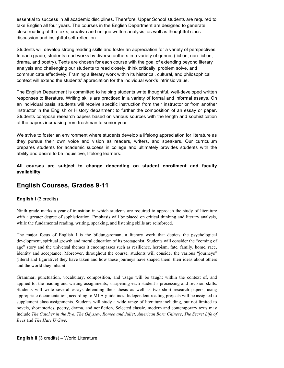essential to success in all academic disciplines. Therefore, Upper School students are required to take English all four years. The courses in the English Department are designed to generate close reading of the texts, creative and unique written analysis, as well as thoughtful class discussion and insightful self-reflection.

Students will develop strong reading skills and foster an appreciation for a variety of perspectives. In each grade, students read works by diverse authors in a variety of genres (fiction, non-fiction, drama, and poetry). Texts are chosen for each course with the goal of extending beyond literary analysis and challenging our students to read closely, think critically, problem solve, and communicate effectively. Framing a literary work within its historical, cultural, and philosophical context will extend the students' appreciation for the individual work's intrinsic value.

The English Department is committed to helping students write thoughtful, well-developed written responses to literature. Writing skills are practiced in a variety of formal and informal essays. On an individual basis, students will receive specific instruction from their instructor or from another instructor in the English or History department to further the composition of an essay or paper. Students compose research papers based on various sources with the length and sophistication of the papers increasing from freshman to senior year.

We strive to foster an environment where students develop a lifelong appreciation for literature as they pursue their own voice and vision as readers, writers, and speakers. Our curriculum prepares students for academic success in college and ultimately provides students with the ability and desire to be inquisitive, lifelong learners.

**All courses are subject to change depending on student enrollment and faculty availability.**

# **English Courses, Grades 9-11**

# **English I (3 credits)**

Ninth grade marks a year of transition in which students are required to approach the study of literature with a greater degree of sophistication. Emphasis will be placed on critical thinking and literary analysis, while the fundamental reading, writing, speaking, and listening skills are reinforced.

The major focus of English I is the bildungsroman, a literary work that depicts the psychological development, spiritual growth and moral education of its protagonist. Students will consider the "coming of age" story and the universal themes it encompasses such as resilience, heroism, fate, family, home, race, identity and acceptance. Moreover, throughout the course, students will consider the various "journeys" (literal and figurative) they have taken and how these journeys have shaped them, their ideas about others and the world they inhabit.

Grammar, punctuation, vocabulary, composition, and usage will be taught within the context of, and applied to, the reading and writing assignments, sharpening each student's processing and revision skills. Students will write several essays defending their thesis as well as two short research papers, using appropriate documentation, according to MLA guidelines. Independent reading projects will be assigned to supplement class assignments. Students will study a wide range of literature including, but not limited to novels, short stories, poetry, drama, and nonfiction. Selected classic, modern and contemporary texts may include *The Catcher in the Rye*, *The Odyssey*, *Romeo and Juliet*, *American Born Chinese*, *The Secret Life of Bees* and *The Hate U Give*.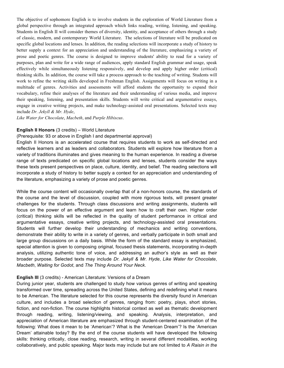The objective of sophomore English is to involve students in the exploration of World Literature from a global perspective through an integrated approach which links reading, writing, listening, and speaking. Students in English II will consider themes of diversity, identity, and acceptance of others through a study of classic, modern, and contemporary World Literature. The selections of literature will be predicated on specific global locations and lenses. In addition, the reading selections will incorporate a study of history to better supply a context for an appreciation and understanding of the literature, emphasizing a variety of prose and poetic genres. The course is designed to improve students' ability to read for a variety of purposes, plan and write for a wide range of audiences, apply standard English grammar and usage, speak effectively while simultaneously listening responsively, and develop and apply higher order (critical) thinking skills. In addition, the course will take a process approach to the teaching of writing. Students will work to refine the writing skills developed in Freshman English. Assignments will focus on writing in a multitude of genres. Activities and assessments will afford students the opportunity to expand their vocabulary, refine their analyses of the literature and their understanding of various media, and improve their speaking, listening, and presentation skills. Students will write critical and argumentative essays, engage in creative writing projects, and make technology-assisted oral presentations. Selected texts may include *Dr. Jekyll & Mr. Hyde*,

*Like Water for Chocolate*, *Macbeth*, and *Purple Hibiscus*.

### **English II Honors** (3 credits) – World Literature

#### (Prerequisite: 93 or above in English I and departmental approval)

English II Honors is an accelerated course that requires students to work as self-directed and reflective learners and as leaders and collaborators. Students will explore how literature from a variety of traditions illuminates and gives meaning to the human experience. In reading a diverse range of texts predicated on specific global locations and lenses, students consider the ways these texts present perspectives on place, culture, identity, and belief. The reading selections will incorporate a study of history to better supply a context for an appreciation and understanding of the literature, emphasizing a variety of prose and poetic genres.

While the course content will occasionally overlap that of a non-honors course, the standards of the course and the level of discussion, coupled with more rigorous texts, will present greater challenges for the students. Through class discussions and writing assignments, students will focus on the power of an effective argument and learn how to craft their own. Higher order (critical) thinking skills will be reflected in the quality of student performance in critical and argumentative essays, creative writing projects, and technology-assisted oral presentations. Students will further develop their understanding of mechanics and writing conventions, demonstrate their ability to write in a variety of genres, and verbally participate in both small and large group discussions on a daily basis. While the form of the standard essay is emphasized, special attention is given to composing original, focused thesis statements, incorporating in-depth analysis, utilizing authentic tone of voice, and addressing an author's style as well as their broader purpose. Selected texts may include *Dr. Jekyll & Mr. Hyde*, *Like Water for Chocolate*, *Macbeth*, *Waiting for Godot*, and *The Thing Around Your Neck*.

### **English III** (3 credits) - American Literature: Versions of a Dream

During junior year, students are challenged to study how various genres of writing and speaking transformed over time, spreading across the United States, defining and redefining what it means to be American. The literature selected for this course represents the diversity found in American culture, and includes a broad selection of genres, ranging from: poetry, plays, short stories, fiction, and non-fiction. The course highlights historical context as well as thematic development through reading, writing, listening/viewing, and speaking. Analysis, interpretation, and appreciation of American literature are emphasized through student-centered examination of the following: What does it mean to be 'American'? What is the 'American Dream'? Is the 'American Dream' attainable today? By the end of the course students will have developed the following skills: thinking critically, close reading, research, writing in several different modalities, working collaboratively, and public speaking. Major texts may include but are not limited to *A Raisin in the*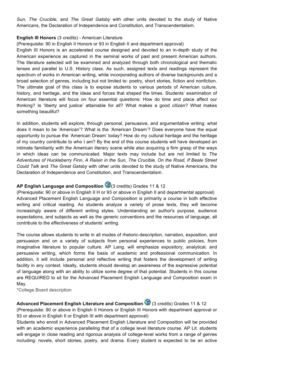*Sun, The Crucible,* and *The Great Gatsby* with other units devoted to the study of Native Americans, the Declaration of Independence and Constitution, and Transcendentalism.

### **English III Honors** (3 credits) - American Literature

(Prerequisite: 90 in English II Honors or 93 in English II and department approval)

English III Honors is an accelerated course designed and devoted to an in-depth study of the American experience as captured in the seminal works of past and present American authors. The literature selected will be examined and analyzed through both chronological and thematic lenses and parallel to U.S. History class. As such, assigned texts and readings represent the spectrum of works in American writing, while incorporating authors of diverse backgrounds and a broad selection of genres, including but not limited to: poetry, short stories, fiction and nonfiction. The ultimate goal of this class is to expose students to various periods of American culture, history, and heritage, and the ideas and forces that shaped the times. Students' examination of American literature will focus on four essential questions: How do time and place affect our thinking? Is 'liberty and justice' attainable for all? What makes a good citizen? What makes something beautiful?

In addition, students will explore, through personal, persuasive, and argumentative writing: what does it mean to be 'American'? What is the 'American Dream'? Does everyone have the equal opportunity to pursue the 'American Dream' today? How do my cultural heritage and the heritage of my country contribute to who I am? By the end of this course students will have developed an intimate familiarity with the American literary scene while also acquiring a firm grasp of the ways in which ideas can be communicated. Major texts may include but are not limited to *The Adventures of Huckleberry Finn*, *A Raisin in the Sun, The Crucible, On the Road, If Beale Street Could Talk* and *The Great Gatsby* with other units devoted to the study of Native Americans, the Declaration of Independence and Constitution, and Transcendentalism.

# **AP English Language and Composition** (3 credits) Grades 11 & 12

(Prerequisite: 90 or above in English II H or 93 or above in English II and departmental approval) Advanced Placement English Language and Composition is primarily a course in both effective writing and critical reading. As students analyze a variety of prose texts, they will become increasingly aware of different writing styles. Understanding an author's purpose, audience expectations, and subjects as well as the generic conventions and the resources of language, all contribute to the effectiveness of students' writing.

The course allows students to write in all modes of rhetoric-description, narration, exposition, and persuasion and on a variety of subjects from personal experiences to public policies, from imaginative literature to popular culture. AP Lang. will emphasize expository, analytical, and persuasive writing, which forms the basis of academic and professional communication. In addition, it will include personal and reflective writing that fosters the development of writing facility in any context. Ideally, students should develop an awareness of the expressive potential of language along with an ability to utilize some degree of that potential. Students in this course are REQUIRED to sit for the Advanced Placement English Language and Composition exam in May.

\*College Board description

# **Advanced Placement English Literature and Composition** (3 credits) Grades 11 & 12

(Prerequisite: 90 or above in English II Honors or English III Honors with department approval or 93 or above in English II or English III with department approval)

Students who enroll in Advanced Placement English Literature and Composition will be provided with an academic experience paralleling that of a college level literature course. AP Lit. students will engage in close reading and rigorous analysis of college-level works from a range of genres including: novels, short stories, poetry, and drama. Every student is expected to be an active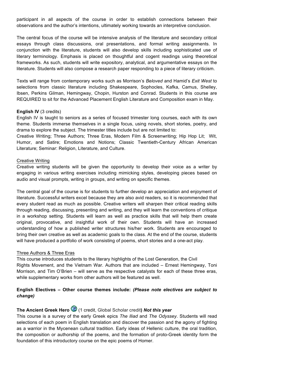participant in all aspects of the course in order to establish connections between their observations and the author's intentions, ultimately working towards an interpretive conclusion.

The central focus of the course will be intensive analysis of the literature and secondary critical essays through class discussions, oral presentations, and formal writing assignments. In conjunction with the literature, students will also develop skills including sophisticated use of literary terminology. Emphasis is placed on thoughtful and cogent readings using theoretical frameworks. As such, students will write expository, analytical, and argumentative essays on the literature. Students will also compose a research paper responding to a piece of literary criticism.

Texts will range from contemporary works such as Morrison's *Beloved* and Hamid's *Exit West* to selections from classic literature including Shakespeare, Sophocles, Kafka, Camus, Shelley, Ibsen, Perkins Gilman, Hemingway, Chopin, Hurston and Conrad. Students in this course are REQUIRED to sit for the Advanced Placement English Literature and Composition exam in May.

#### **English IV** (3 credits)

English IV is taught to seniors as a series of focused trimester long courses, each with its own theme. Students immerse themselves in a single focus, using novels, short stories, poetry, and drama to explore the subject. The trimester titles include but are not limited to:

Creative Writing; Three Authors; Three Eras, Modern Film & Screenwriting; Hip Hop Lit; Wit, Humor, and Satire; Emotions and Notions; Classic Twentieth-Century African American Literature; Seminar: Religion, Literature, and Culture.

### Creative Writing

Creative writing students will be given the opportunity to develop their voice as a writer by engaging in various writing exercises including mimicking styles, developing pieces based on audio and visual prompts, writing in groups, and writing on specific themes.

The central goal of the course is for students to further develop an appreciation and enjoyment of literature. Successful writers excel because they are also avid readers, so it is recommended that every student read as much as possible. Creative writers will sharpen their critical reading skills through reading, discussing, presenting and writing, and they will learn the conventions of critique in a workshop setting. Students will learn as well as practice skills that will help them create original, provocative, and insightful work of their own. Students will have an increased understanding of how a published writer structures his/her work. Students are encouraged to bring their own creative as well as academic goals to the class. At the end of the course, students will have produced a portfolio of work consisting of poems, short stories and a one-act play.

#### Three Authors & Three Eras

This course introduces students to the literary highlights of the Lost Generation, the Civil Rights Movement, and the Vietnam War. Authors that are included – Ernest Hemingway, Toni Morrison, and Tim O'Brien – will serve as the respective catalysts for each of these three eras, while supplementary works from other authors will be featured as well.

# **English Electives – Other course themes include:** *(Please note electives are subject to change)*

# **The Ancient Greek Hero** (1 credit, Global Scholar credit**)** *Not this year*

This course is a survey of the early Greek epics *The Iliad* and *The Odyssey*. Students will read selections of each poem in English translation and discover the passion and the agony of fighting as a warrior in the Mycenean cultural tradition. Early ideas of Hellenic culture, the oral tradition, the composition or authorship of the poems, and the formation of proto-Greek identity form the foundation of this introductory course on the epic poems of Homer.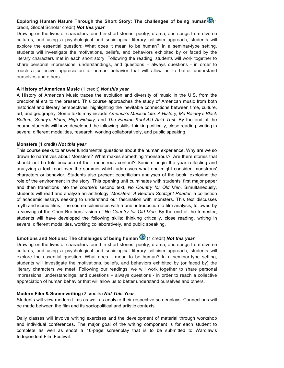# **Exploring Human Nature Through the Short Story: The challenges of being human** credit, Global Scholar credit) *Not this year*

Drawing on the lives of characters found in short stories, poetry, drama, and songs from diverse cultures, and using a psychological and sociological literary criticism approach, students will explore the essential question: What does it mean to be human? In a seminar-type setting, students will investigate the motivations, beliefs, and behaviors exhibited by or faced by the literary characters met in each short story. Following the reading, students will work together to share personal impressions, understandings, and questions – always questions - in order to reach a collective appreciation of human behavior that will allow us to better understand ourselves and others.

### **A History of American Music** (1 credit) *Not this year*

A History of American Music traces the evolution and diversity of music in the U.S. from the precolonial era to the present. This course approaches the study of American music from both historical and literary perspectives, highlighting the inevitable connections between time, culture, art, and geography. Some texts may include *America's Musical Life: A History, Ma Rainey's Black Bottom, Sonny's Blues, High Fidelity,* and *The Electric Kool-Aid Acid Test.* By the end of the course students will have developed the following skills: thinking critically, close reading, writing in several different modalities, research, working collaboratively, and public speaking.

### **Monsters** (1 credit) *Not this year*

This course seeks to answer fundamental questions about the human experience. Why are we so drawn to narratives about Monsters? What makes something 'monstrous?' Are there stories that should not be told because of their monstrous content? Seniors begin the year reflecting and analyzing a text read over the summer which addresses what one might consider 'monstrous' characters or behavior*.* Students also present ecocriticism analyses of the book, exploring the role of the environment in the story. This opening unit culminates with students' first major paper and then transitions into the course's second text, *No Country for Old Men.* Simultaneously, students will read and analyze an anthology, *Monsters: A Bedford Spotlight Reader,* a collection of academic essays seeking to understand our fascination with monsters. This text discusses myth and iconic films. The course culminates with a brief introduction to film analysis, followed by a viewing of the Coen Brothers' vision of *No Country for Old Men*. By the end of the trimester, students will have developed the following skills: thinking critically, close reading, writing in several different modalities, working collaboratively, and public speaking.

# **Emotions and Notions: The challenges of being human**  $\bigcirc$  (1 credit) *Not this year*

Drawing on the lives of characters found in short stories, poetry, drama, and songs from diverse cultures, and using a psychological and sociological literary criticism approach, students will explore the essential question: What does it mean to be human? In a seminar-type setting, students will investigate the motivations, beliefs, and behaviors exhibited by (or faced by) the literary characters we meet. Following our readings, we will work together to share personal impressions, understandings, and questions – always questions - in order to reach a collective appreciation of human behavior that will allow us to better understand ourselves and others.

### **Modern Film & Screenwriting** (2 credits) *Not This Year*

Students will view modern films as well as analyze their respective screenplays. Connections will be made between the film and its sociopolitical and artistic contexts.

Daily classes will involve writing exercises and the development of material through workshop and individual conferences. The major goal of the writing component is for each student to complete as well as shoot a 10-page screenplay that is to be submitted to Wardlaw's Independent Film Festival.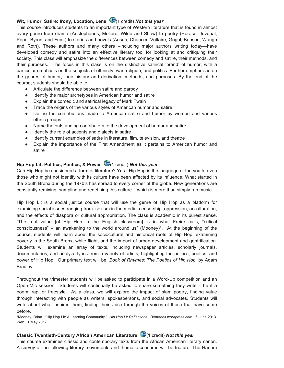# **Wit, Humor, Satire: Irony, Location, Lens** (1 credit) **Not this year**

This course introduces students to an important type of Western literature that is found in almost every genre from drama (Aristophanes, Moliere, Wilde and Shaw) to poetry (Horace, Juvenal, Pope, Byron, and Frost) to stories and novels (Aesop, Chaucer, Voltaire, Gogol, Benson, Waugh and Roth). These authors and many others –including major authors writing today—have developed comedy and satire into an effective literary tool for looking at and critiquing their society. This class will emphasize the differences between comedy and satire, their methods, and their purposes. The focus in this class is on the distinctive satirical 'brand' of humor, with a particular emphasis on the subjects of ethnicity, war, religion, and politics. Further emphasis is on the genres of humor, their history and derivation, methods, and purposes. By the end of the course, students should be able to:

- Articulate the difference between satire and parody
- Identify the major archetypes in American humor and satire
- Explain the comedic and satirical legacy of Mark Twain
- Trace the origins of the various styles of American humor and satire
- Define the contributions made to American satire and humor by women and various ethnic groups
- Name the outstanding contributors to the development of humor and satire
- Identify the role of accents and dialects in satire
- Identify current examples of satire in literature, film, television, and theatre
- Explain the importance of the First Amendment as it pertains to American humor and satire

# **Hip Hop Lit: Politics, Poetics, & Power**  $\bigcirc$  (1 credit) **Not this year**

Can Hip Hop be considered a form of literature? Yes. Hip Hop is the language of the youth; even those who might not identify with its culture have been affected by its influence. What started in the South Bronx during the 1970's has spread to every corner of the globe. New generations are constantly remixing, sampling and redefining this culture – which is more than simply rap music.

Hip Hop Lit is a social justice course that will use the genre of Hip Hop as a platform for examining social issues ranging from: sexism in the media, censorship, oppression, acculturation, and the effects of diaspora or cultural appropriation. The class is academic in its purest sense. "The real value [of Hip Hop in the English classroom] is in what Freire calls, "critical consciousness" – an awakening to the world around us" (Mooney)\*. At the beginning of the course, students will learn about the sociocultural and historical roots of Hip Hop, examining poverty in the South Bronx, white flight, and the impact of urban development and gentrification. Students will examine an array of texts, including newspaper articles, scholarly journals, documentaries, and analyze lyrics from a variety of artists, highlighting the politics, poetics, and power of Hip Hop. Our primary text will be, *Book of Rhymes: The Poetics of Hip Hop*, by Adam Bradley.

Throughout the trimester students will be asked to participate in a Word-Up competition and an Open-Mic session. Students will continually be asked to share something they write – be it a poem, rap, or freestyle. As a class, we will explore the impact of slam poetry, finding value through interacting with people as writers, spokespersons, and social advocates. Students will write about what inspires them, finding their voice through the voices of those that have come before.

\*Mooney, Brian. "Hip Hop Lit: A Learning Community." *Hip Hop Lit Reflections. Bemoons.wordpress.com*. 6 June 2013. Web. 1 May 2017.

# **Classic Twentieth-Century African American Literature** (1 credit) *Not this year*

This course examines classic and contemporary texts from the African American literary canon. A survey of the following literary movements and thematic concerns will be feature: The Harlem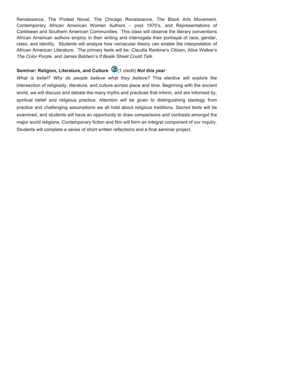Renaissance, The Protest Novel, The Chicago Renaissance, The Black Arts Movement, Contemporary African American Women Authors – post 1970's, and Representations of Caribbean and Southern American Communities. This class will observe the literary conventions African American authors employ in their writing and interrogate their portrayal of race, gender, class, and identity. Students will analyze how vernacular theory can enable the interpretation of African American Literature. The primary texts will be: Claudia Rankine's *Citizen*, Alice Walker's *The Color Purple*, and James Baldwin's *If Beale Street Could Talk*.

# **Seminar: Religion, Literature, and Culture** (1 credit) *Not this year*

*What is belief? Why do people believe what they believe?* This elective will explore the intersection of religiosity, literature, and culture across place and time. Beginning with the ancient world, we will discuss and debate the many myths and practices that inform, and are informed by, spiritual belief and religious practice. Attention will be given to distinguishing ideology from practice and challenging assumptions we all hold about religious traditions. Sacred texts will be examined, and students will have an opportunity to draw comparisons and contrasts amongst the major world religions. Contemporary fiction and film will form an integral component of our inquiry. Students will complete a series of short written reflections and a final seminar project.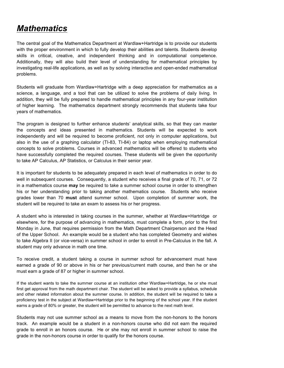# *Mathematics*

The central goal of the Mathematics Department at Wardlaw+Hartridge is to provide our students with the proper environment in which to fully develop their abilities and talents. Students develop skills in critical, creative, and independent thinking and in computational competence. Additionally, they will also build their level of understanding for mathematical principles by investigating real-life applications, as well as by solving interactive and open-ended mathematical problems.

Students will graduate from Wardlaw+Hartridge with a deep appreciation for mathematics as a science, a language, and a tool that can be utilized to solve the problems of daily living. In addition, they will be fully prepared to handle mathematical principles in any four-year institution of higher learning. The mathematics department strongly recommends that students take four years of mathematics.

The program is designed to further enhance students' analytical skills, so that they can master the concepts and ideas presented in mathematics. Students will be expected to work independently and will be required to become proficient, not only in computer applications, but also in the use of a graphing calculator (TI-83, TI-84) or laptop when employing mathematical concepts to solve problems. Courses in advanced mathematics will be offered to students who have successfully completed the required courses. These students will be given the opportunity to take AP Calculus, AP Statistics, or Calculus in their senior year.

It is important for students to be adequately prepared in each level of mathematics in order to do well in subsequent courses. Consequently, a student who receives a final grade of 70, 71, or 72 in a mathematics course **may** be required to take a summer school course in order to strengthen his or her understanding prior to taking another mathematics course. Students who receive grades lower than 70 **must** attend summer school. Upon completion of summer work, the student will be required to take an exam to assess his or her progress.

A student who is interested in taking courses in the summer, whether at Wardlaw+Hartridge or elsewhere, for the purpose of advancing in mathematics, must complete a form, prior to the first Monday in June, that requires permission from the Math Department Chairperson and the Head of the Upper School. An example would be a student who has completed Geometry and wishes to take Algebra II (or vice-versa) in summer school in order to enroll in Pre-Calculus in the fall. A student may only advance in math one time.

To receive credit, a student taking a course in summer school for advancement must have earned a grade of 90 or above in his or her previous/current math course, and then he or she must earn a grade of 87 or higher in summer school.

If the student wants to take the summer course at an institution other Wardlaw+Hartridge, he or she must first get approval from the math department chair. The student will be asked to provide a syllabus, schedule and other related information about the summer course. In addition, the student will be required to take a proficiency test in the subject at Wardlaw+Hartridge prior to the beginning of the school year. If the student earns a grade of 80% or greater, the student will be permitted to advance to the next math level.

Students may not use summer school as a means to move from the non-honors to the honors track. An example would be a student in a non-honors course who did not earn the required grade to enroll in an honors course. He or she may not enroll in summer school to raise the grade in the non-honors course in order to qualify for the honors course.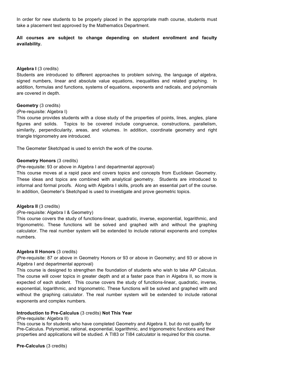In order for new students to be properly placed in the appropriate math course, students must take a placement test approved by the Mathematics Department.

# **All courses are subject to change depending on student enrollment and faculty availability.**

### Algebra I (3 credits)

Students are introduced to different approaches to problem solving, the language of algebra, signed numbers, linear and absolute value equations, inequalities and related graphing. In addition, formulas and functions, systems of equations, exponents and radicals, and polynomials are covered in depth.

#### **Geometry** (3 credits)

#### (Pre-requisite: Algebra I)

This course provides students with a close study of the properties of points, lines, angles, plane figures and solids. Topics to be covered include congruence, constructions, parallelism, similarity, perpendicularity, areas, and volumes. In addition, coordinate geometry and right triangle trigonometry are introduced.

The Geometer Sketchpad is used to enrich the work of the course.

### **Geometry Honors** (3 credits)

(Pre-requisite: 93 or above in Algebra I and departmental approval)

This course moves at a rapid pace and covers topics and concepts from Euclidean Geometry. These ideas and topics are combined with analytical geometry. Students are introduced to informal and formal proofs. Along with Algebra I skills, proofs are an essential part of the course. In addition, Geometer's Sketchpad is used to investigate and prove geometric topics.

### **Algebra II** (3 credits)

(Pre-requisite: Algebra I & Geometry)

This course covers the study of functions-linear, quadratic, inverse, exponential, logarithmic, and trigonometric. These functions will be solved and graphed with and without the graphing calculator. The real number system will be extended to include rational exponents and complex numbers.

### **Algebra II Honors** (3 credits)

(Pre-requisite: 87 or above in Geometry Honors or 93 or above in Geometry; and 93 or above in Algebra I and departmental approval)

This course is designed to strengthen the foundation of students who wish to take AP Calculus. The course will cover topics in greater depth and at a faster pace than in Algebra II, so more is expected of each student. This course covers the study of functions-linear, quadratic, inverse, exponential, logarithmic, and trigonometric. These functions will be solved and graphed with and without the graphing calculator. The real number system will be extended to include rational exponents and complex numbers.

### **Introduction to Pre-Calculus** (3 credits) **Not This Year**

#### (Pre-requisite: Algebra II)

This course is for students who have completed Geometry and Algebra II, but do not qualify for Pre-Calculus. Polynomial, rational, exponential, logarithmic, and trigonometric functions and their properties and applications will be studied. A TI83 or TI84 calculator is required for this course.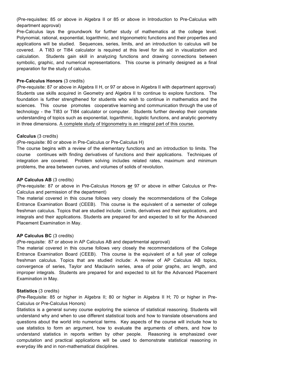(Pre-requisites: 85 or above in Algebra II or 85 or above in Introduction to Pre-Calculus with department approval)

Pre-Calculus lays the groundwork for further study of mathematics at the college level. Polynomial, rational, exponential, logarithmic, and trigonometric functions and their properties and applications will be studied. Sequences, series, limits, and an introduction to calculus will be covered. A TI83 or TI84 calculator is required at this level for its aid in visualization and calculation. Students gain skill in analyzing functions and drawing connections between symbolic, graphic, and numerical representations. This course is primarily designed as a final preparation for the study of calculus.

#### **Pre-Calculus Honors** (3 credits)

(Pre-requisite: 87 or above in Algebra II H, or 97 or above in Algebra II with department approval) Students use skills acquired in Geometry and Algebra II to continue to explore functions. The foundation is further strengthened for students who wish to continue in mathematics and the sciences. This course promotes cooperative learning and communication through the use of technology - the TI83 or TI84 calculator or computer. Students further develop their complete understanding of topics such as exponential, logarithmic, logistic functions, and analytic geometry in three dimensions. A complete study of trigonometry is an integral part of this course.

### **Calculus** (3 credits)

#### (Pre-requisite: 80 or above in Pre-Calculus or Pre-Calculus H)

The course begins with a review of the elementary functions and an introduction to limits. The course continues with finding derivatives of functions and their applications. Techniques of integration are covered. Problem solving includes related rates, maximum and minimum problems, the area between curves, and volumes of solids of revolution.

#### **AP Calculus AB** (3 credits)

(Pre-requisite: 87 or above in Pre-Calculus Honors **or** 97 or above in either Calculus or Pre-Calculus and permission of the department)

The material covered in this course follows very closely the recommendations of the College Entrance Examination Board (CEEB). This course is the equivalent of a semester of college freshman calculus. Topics that are studied include: Limits, derivatives and their applications, and integrals and their applications. Students are prepared for and expected to sit for the Advanced Placement Examination in May.

### **AP Calculus BC** (3 credits)

(Pre-requisite: 87 or above in AP Calculus AB and departmental approval)

The material covered in this course follows very closely the recommendations of the College Entrance Examination Board (CEEB). This course is the equivalent of a full year of college freshman calculus. Topics that are studied include: A review of AP Calculus AB topics, convergence of series, Taylor and Maclaurin series, area of polar graphs, arc length, and improper integrals. Students are prepared for and expected to sit for the Advanced Placement Examination in May.

#### **Statistics** (3 credits)

(Pre-Requisite: 85 or higher in Algebra II; 80 or higher in Algebra II H; 70 or higher in Pre-Calculus or Pre-Calculus Honors)

Statistics is a general survey course exploring the science of statistical reasoning. Students will understand why and when to use different statistical tools and how to translate observations and questions about the world into numerical terms. Key aspects of the course will include how to use statistics to form an argument, how to evaluate the arguments of others, and how to understand statistics in reports written by other people. Reasoning is emphasized over computation and practical applications will be used to demonstrate statistical reasoning in everyday life and in non-mathematical disciplines.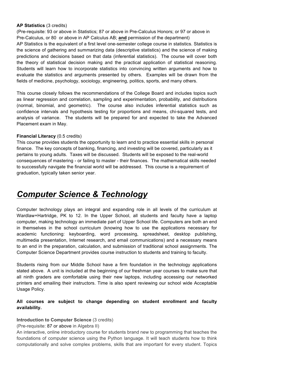#### **AP Statistics** (3 credits)

(Pre-requisite: 93 or above in Statistics; 87 or above in Pre-Calculus Honors; or 97 or above in Pre-Calculus, or 80 or above in AP Calculus AB; **and** permission of the department)

AP Statistics is the equivalent of a first level one-semester college course in statistics. Statistics is the science of gathering and summarizing data (descriptive statistics) and the science of making predictions and decisions based on that data (inferential statistics). The course will cover both the theory of statistical decision making and the practical application of statistical reasoning. Students will learn how to incorporate statistics into convincing written arguments and how to evaluate the statistics and arguments presented by others. Examples will be drawn from the fields of medicine, psychology, sociology, engineering, politics, sports, and many others.

This course closely follows the recommendations of the College Board and includes topics such as linear regression and correlation, sampling and experimentation, probability, and distributions (normal, binomial, and geometric). The course also includes inferential statistics such as confidence intervals and hypothesis testing for proportions and means, chi-squared tests, and analysis of variance. The students will be prepared for and expected to take the Advanced Placement exam in May.

### **Financial Literacy** (0.5 credits)

This course provides students the opportunity to learn and to practice essential skills in personal finance. The key concepts of banking, financing, and investing will be covered, particularly as it pertains to young adults. Taxes will be discussed. Students will be exposed to the real-world consequences of mastering - or failing to master - their finances. The mathematical skills needed to successfully navigate the financial world will be addressed. This course is a requirement of graduation, typically taken senior year.

# *Computer Science & Technology*

Computer technology plays an integral and expanding role in all levels of the curriculum at Wardlaw+Hartridge, PK to 12. In the Upper School, all students and faculty have a laptop computer, making technology an immediate part of Upper School life. Computers are both an end in themselves in the school curriculum (knowing how to use the applications necessary for academic functioning: keyboarding, word processing, spreadsheet, desktop publishing, multimedia presentation, Internet research, and email communications) and a necessary means to an end in the preparation, calculation, and submission of traditional school assignments. The Computer Science Department provides course instruction to students and training to faculty.

Students rising from our Middle School have a firm foundation in the technology applications stated above. A unit is included at the beginning of our freshman year courses to make sure that all ninth graders are comfortable using their new laptops, including accessing our networked printers and emailing their instructors. Time is also spent reviewing our school wide Acceptable Usage Policy.

## **All courses are subject to change depending on student enrollment and faculty availability.**

### **Introduction to Computer Science** (3 credits)

#### (Pre-requisite: 87 or above in Algebra II)

An interactive, online introductory course for students brand new to programming that teaches the foundations of computer science using the Python language. It will teach students how to think computationally and solve complex problems, skills that are important for every student. Topics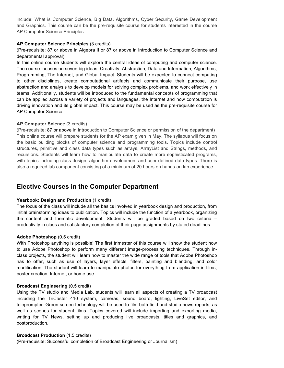include: What is Computer Science, Big Data, Algorithms, Cyber Security, Game Development and Graphics. This course can be the pre-requisite course for students interested in the course AP Computer Science Principles.

#### **AP Computer Science Principles** (3 credits)

(Pre-requisite: 87 or above in Algebra II or 87 or above in Introduction to Computer Science and departmental approval)

In this online course students will explore the central ideas of computing and computer science. The course focuses on seven big ideas: Creativity, Abstraction, Data and Information, Algorithms, Programming, The Internet, and Global Impact. Students will be expected to connect computing to other disciplines, create computational artifacts and communicate their purpose, use abstraction and analysis to develop models for solving complex problems, and work effectively in teams. Additionally, students will be introduced to the fundamental concepts of programming that can be applied across a variety of projects and languages, the Internet and how computation is driving innovation and its global impact. This course may be used as the pre-requisite course for AP Computer Science.

#### **AP Computer Science** (3 credits)

(Pre-requisite: 87 or above in Introduction to Computer Science or permission of the department) This online course will prepare students for the AP exam given in May. The syllabus will focus on the basic building blocks of computer science and programming tools. Topics include control structures, primitive and class data types such as arrays, ArrayList and Strings, methods, and recursions. Students will learn how to manipulate data to create more sophisticated programs, with topics including class design, algorithm development and user-defined data types. There is also a required lab component consisting of a minimum of 20 hours on hands-on lab experience.

# **Elective Courses in the Computer Department**

#### Yearbook: Design and Production (1 credit)

The focus of the class will include all the basics involved in yearbook design and production, from initial brainstorming ideas to publication. Topics will include the function of a yearbook, organizing the content and thematic development. Students will be graded based on two criteria – productivity in class and satisfactory completion of their page assignments by stated deadlines.

### **Adobe Photoshop** (0.5 credit)

With Photoshop anything is possible! The first trimester of this course will show the student how to use Adobe Photoshop to perform many different image-processing techniques. Through inclass projects, the student will learn how to master the wide range of tools that Adobe Photoshop has to offer, such as use of layers, layer effects, filters, painting and blending, and color modification. The student will learn to manipulate photos for everything from application in films, poster creation, Internet, or home use.

#### **Broadcast Engineering** (0.5 credit)

Using the TV studio and Media Lab, students will learn all aspects of creating a TV broadcast including the TriCaster 410 system, cameras, sound board, lighting, LiveSet editor, and teleprompter. Green screen technology will be used to film both field and studio news reports, as well as scenes for student films. Topics covered will include importing and exporting media, writing for TV News, setting up and producing live broadcasts, titles and graphics, and postproduction.

#### **Broadcast Production** (1.5 credits)

(Pre-requisite: Successful completion of Broadcast Engineering or Journalism)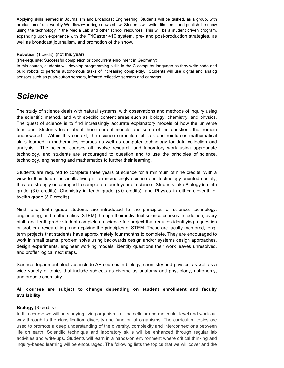Applying skills learned in Journalism and Broadcast Engineering, Students will be tasked, as a group, with production of a bi-weekly Wardlaw+Hartridge news show. Students will write, film, edit, and publish the show using the technology in the Media Lab and other school resources. This will be a student driven program, expanding upon experience with the TriCaster 410 system, pre- and post-production strategies, as well as broadcast journalism, and promotion of the show.

#### **Robotics** (1 credit) (not this year)

(Pre-requisite: Successful completion or concurrent enrollment in Geometry)

In this course, students will develop programming skills in the C computer language as they write code and build robots to perform autonomous tasks of increasing complexity. Students will use digital and analog sensors such as push-button sensors, infrared reflective sensors and cameras.

# *Science*

The study of science deals with natural systems, with observations and methods of inquiry using the scientific method, and with specific content areas such as biology, chemistry, and physics. The quest of science is to find increasingly accurate explanatory models of how the universe functions. Students learn about these current models and some of the questions that remain unanswered. Within this context, the science curriculum utilizes and reinforces mathematical skills learned in mathematics courses as well as computer technology for data collection and analysis. The science courses all involve research and laboratory work using appropriate technology, and students are encouraged to question and to use the principles of science, technology, engineering and mathematics to further their learning.

Students are required to complete three years of science for a minimum of nine credits. With a view to their future as adults living in an increasingly science and technology-oriented society, they are strongly encouraged to complete a fourth year of science. Students take Biology in ninth grade (3.0 credits), Chemistry in tenth grade (3.0 credits), and Physics in either eleventh or twelfth grade (3.0 credits).

Ninth and tenth grade students are introduced to the principles of science, technology, engineering, and mathematics (STEM) through their individual science courses. In addition, every ninth and tenth grade student completes a science fair project that requires identifying a question or problem, researching, and applying the principles of STEM. These are faculty-mentored, longterm projects that students have approximately four months to complete. They are encouraged to work in small teams, problem solve using backwards design and/or systems design approaches, design experiments, engineer working models, identify questions their work leaves unresolved, and proffer logical next steps.

Science department electives include AP courses in biology, chemistry and physics, as well as a wide variety of topics that include subjects as diverse as anatomy and physiology, astronomy, and organic chemistry.

# **All courses are subject to change depending on student enrollment and faculty availability.**

### **Biology** (3 credits)

In this course we will be studying living organisms at the cellular and molecular level and work our way through to the classification, diversity and function of organisms. The curriculum topics are used to promote a deep understanding of the diversity, complexity and interconnections between life on earth. Scientific technique and laboratory skills will be enhanced through regular lab activities and write-ups. Students will learn in a hands-on environment where critical thinking and inquiry-based learning will be encouraged. The following lists the topics that we will cover and the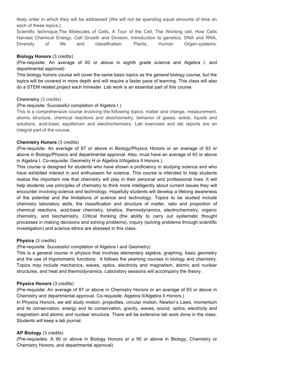likely order in which they will be addressed (We will not be spending equal amounts of time on each of these topics.):

Scientific technique,The Molecules of Cells, A Tour of the Cell, The Working cell, How Cells Harvest Chemical Energy, Cell Growth and Division, Introduction to genetics, DNA and RNA, Diversity of life and classification, Plants, Human Organ-systems.

### **Biology Honors** (3 credits)

(Pre-requisite: An average of 93 or above in eighth grade science and Algebra I, and departmental approval)

This biology honors course will cover the same basic topics as the general biology course, but the topics will be covered in more depth and will require a faster pace of learning. This class will also do a STEM related project each trimester. Lab work is an essential part of this course.

### **Chemistry** (3 credits)

### (Pre-requisite: Successful completion of Algebra I.)

This is a comprehensive course involving the following topics: matter and change, measurement, atomic structure, chemical reactions and stoichiometry, behavior of gases, solids, liquids and solutions, acid-base, equilibrium and electrochemistry. Lab exercises and lab reports are an integral part of the course.

### **Chemistry Honors** (3 credits)

(Pre-requisite: An average of 87 or above in Biology/Physics Honors or an average of 93 or above in Biology/Physics and departmental approval. Also, must have an average of 93 or above in Algebra I. Co-requisite: Geometry H or Algebra II/Algebra II Honors.)

This course is designed for students who have shown a proficiency in studying science and who have exhibited interest in and enthusiasm for science. This course is intended to help students realize the important role that chemistry will play in their personal and professional lives. It will help students use principles of chemistry to think more intelligently about current issues they will encounter involving science and technology. Hopefully students will develop a lifelong awareness of the potential and the limitations of science and technology. Topics to be studied include chemistry laboratory skills, the classification and structure of matter, ratio and proportion of chemical reactions, acid-base chemistry, kinetics, thermodynamics, electrochemistry, organic chemistry, and biochemistry. Critical thinking (the ability to carry out systematic thought processes in making decisions and solving problems), inquiry (solving problems through scientific investigation) and science ethics are stressed in this class.

# **Physics** (3 credits)

(Pre-requisite: Successful completion of Algebra I and Geometry)

This is a general course in physics that involves elementary algebra, graphing, basic geometry and the use of trigonometric functions. It follows the yearlong courses in biology and chemistry. Topics may include mechanics, waves, optics, electricity and magnetism, atomic and nuclear structures, and heat and thermodynamics. Laboratory sessions will accompany the theory.

### **Physics Honors** (3 credits)

(Pre-requisite: An average of 87 or above in Chemistry Honors or an average of 93 or above in Chemistry and departmental approval. Co-requisite: Algebra II/Algebra II Honors.)

In Physics Honors, we will study motion, projectiles, circular motion, Newton's Laws, momentum and its conservation, energy and its conservation, gravity, waves, sound, optics, electricity and magnetism and atomic and nuclear structure. There will be extensive lab work done in the class. Students will keep a lab journal.

# **AP Biology** (3 credits)

(Pre-requisites: A 90 or above in Biology Honors or a 95 or above in Biology, Chemistry or Chemistry Honors, and departmental approval)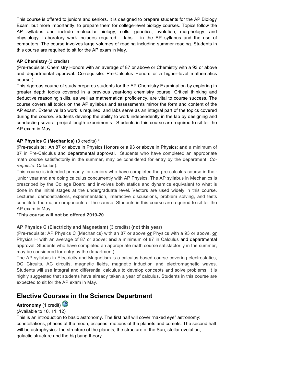This course is offered to juniors and seniors. It is designed to prepare students for the AP Biology Exam, but more importantly, to prepare them for college-level biology courses. Topics follow the AP syllabus and include molecular biology, cells, genetics, evolution, morphology, and physiology. Laboratory work includes required labs in the AP syllabus and the use of computers. The course involves large volumes of reading including summer reading. Students in this course are required to sit for the AP exam in May.

## **AP Chemistry** (3 credits)

(Pre-requisite: Chemistry Honors with an average of 87 or above or Chemistry with a 93 or above and departmental approval. Co-requisite: Pre-Calculus Honors or a higher-level mathematics course.)

This rigorous course of study prepares students for the AP Chemistry Examination by exploring in greater depth topics covered in a previous year-long chemistry course. Critical thinking and deductive reasoning skills, as well as mathematical proficiency, are vital to course success. The course covers all topics on the AP syllabus and assessments mirror the form and content of the AP exam. Extensive lab work is required, and labs serve as an integral part of the topics covered during the course. Students develop the ability to work independently in the lab by designing and conducting several project-length experiments. Students in this course are required to sit for the AP exam in May.

# **AP Physics C (Mechanics)** (3 credits) \*

(Pre-requisite: An 87 or above in Physics Honors or a 93 or above in Physics; **and** a minimum of 87 in Pre-Calculus and departmental approval. Students who have completed an appropriate math course satisfactorily in the summer, may be considered for entry by the department. *Corequisite*: Calculus).

This course is intended primarily for seniors who have completed the pre-calculus course in their junior year and are doing calculus concurrently with AP Physics. The AP syllabus in Mechanics is prescribed by the College Board and involves both statics and dynamics equivalent to what is done in the initial stages at the undergraduate level. Vectors are used widely in this course. Lectures, demonstrations, experimentation, interactive discussions, problem solving, and tests constitute the major components of the course. Students in this course are required to sit for the AP exam in May.

**\*This course will not be offered 2019-20**

# **AP Physics C (Electricity and Magnetism)** (3 credits) **(not this year)**

(Pre-requisite: AP Physics C (Mechanics) with an 87 or above **or** Physics with a 93 or above, **or** Physics H with an average of 87 or above; **and** a minimum of 87 in Calculus and departmental approval. Students who have completed an appropriate math course satisfactorily in the summer, may be considered for entry by the department)

The AP syllabus in Electricity and Magnetism is a calculus-based course covering electrostatics, DC Circuits, AC circuits, magnetic fields, magnetic induction and electromagnetic waves. Students will use integral and differential calculus to develop concepts and solve problems. It is highly suggested that students have already taken a year of calculus. Students in this course are expected to sit for the AP exam in May.

# **Elective Courses in the Science Department**

# **Astronomy** (1 credit)

# (Available to 10, 11, 12)

This is an introduction to basic astronomy. The first half will cover "naked eye" astronomy: constellations, phases of the moon, eclipses, motions of the planets and comets. The second half will be astrophysics: the structure of the planets, the structure of the Sun, stellar evolution, galactic structure and the big bang theory.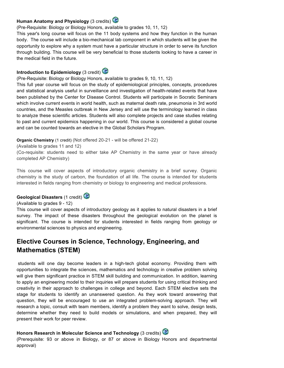# **Human Anatomy and Physiology** (3 credits)

(Pre-Requisite: Biology or Biology Honors, available to grades 10, 11, 12)

This year's long course will focus on the 11 body systems and how they function in the human body. The course will include a bio-mechanical lab component in which students will be given the opportunity to explore why a system must have a particular structure in order to serve its function through building. This course will be very beneficial to those students looking to have a career in the medical field in the future.

# **Introduction to Epidemiology** (3 credit)

(Pre-Requisite: Biology or Biology Honors, available to grades 9, 10, 11, 12)

This full year course will focus on the study of epidemiological principles, concepts, procedures and statistical analysis useful in surveillance and investigation of health-related events that have been published by the Center for Disease Control. Students will participate in Socratic Seminars which involve current events in world health, such as maternal death rate, pneumonia in 3rd world countries, and the Measles outbreak in New Jersey and will use the terminology learned in class to analyze these scientific articles. Students will also complete projects and case studies relating to past and current epidemics happening in our world. This course is considered a global course and can be counted towards an elective in the Global Scholars Program.

**Organic Chemistry** (1 credit) (Not offered 20-21 - will be offered 21-22)

(Available to grades 11 and 12)

(Co-requisite: students need to either take AP Chemistry in the same year or have already completed AP Chemistry)

This course will cover aspects of introductory organic chemistry in a brief survey. Organic chemistry is the study of carbon, the foundation of all life. The course is intended for students interested in fields ranging from chemistry or biology to engineering and medical professions.

# **Geological Disasters** (1 credit)



(Available to grades 9 - 12) This course will cover aspects of introductory geology as it applies to natural disasters in a brief survey. The impact of these disasters throughout the geological evolution on the planet is significant. The course is intended for students interested in fields ranging from geology or environmental sciences to physics and engineering.

# **Elective Courses in Science, Technology, Engineering, and Mathematics (STEM)**

students will one day become leaders in a high-tech global economy. Providing them with opportunities to integrate the sciences, mathematics and technology in creative problem solving will give them significant practice in STEM skill building and communication. In addition, learning to apply an engineering model to their inquiries will prepare students for using critical thinking and creativity in their approach to challenges in college and beyond. Each STEM elective sets the stage for students to identify an unanswered question. As they work toward answering that question, they will be encouraged to use an integrated problem-solving approach. They will research a topic, consult with team members, identify a problem they want to solve, design tests, determine whether they need to build models or simulations, and when prepared, they will present their work for peer review.

# **Honors Research in Molecular Science and Technology** (3 credits)

(Prerequisite: 93 or above in Biology, or 87 or above in Biology Honors and departmental approval)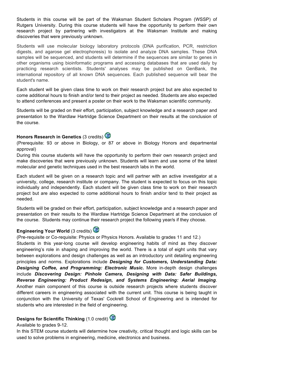Students in this course will be part of the Waksman Student Scholars Program (WSSP) of Rutgers University. During this course students will have the opportunity to perform their own research project by partnering with investigators at the Waksman Institute and making discoveries that were previously unknown.

Students will use molecular biology laboratory protocols (DNA purification, PCR, restriction digests, and agarose gel electrophoresis) to isolate and analyze DNA samples. These DNA samples will be sequenced, and students will determine if the sequences are similar to genes in other organisms using bioinformatic programs and accessing databases that are used daily by practicing research scientists. Students' analyses may be published on GenBank, the international repository of all known DNA sequences. Each published sequence will bear the student's name.

Each student will be given class time to work on their research project but are also expected to come additional hours to finish and/or tend to their project as needed. Students are also expected to attend conferences and present a poster on their work to the Waksman scientific community.

Students will be graded on their effort, participation, subject knowledge and a research paper and presentation to the Wardlaw Hartridge Science Department on their results at the conclusion of the course.

# **Honors Research in Genetics** (3 credits)

(Prerequisite: 93 or above in Biology, or 87 or above in Biology Honors and departmental approval)

During this course students will have the opportunity to perform their own research project and make discoveries that were previously unknown. Students will learn and use some of the latest molecular and genetic techniques used in the best research labs in the world.

Each student will be given on a research topic and will partner with an active investigator at a university, college, research institute or company. The student is expected to focus on this topic individually and independently. Each student will be given class time to work on their research project but are also expected to come additional hours to finish and/or tend to their project as needed.

Students will be graded on their effort, participation, subject knowledge and a research paper and presentation on their results to the Wardlaw Hartridge Science Department at the conclusion of the course. Students may continue their research project the following year/s if they choose.

# **Engineering Your World (3 credits)**

(Pre-requisite or Co-requisite: Physics or Physics Honors. Available to grades 11 and 12.) Students in this year-long course will develop engineering habits of mind as they discover engineering's role in shaping and improving the world. There is a total of eight units that vary between explorations and design challenges as well as an introductory unit detailing engineering principles and norms. Explorations include *Designing for Customers, Understanding Data: Designing Coffee, and Programming: Electronic Music.* More in-depth design challenges include *Discovering Design: Pinhole Camera, Designing with Data: Safer Buildings, Reverse Engineering: Product Redesign, and Systems Engineering: Aerial Imaging*. Another main component of this course is outside research projects where students discover different careers in engineering associated with the current unit. This course is being taught in conjunction with the University of Texas' Cockrell School of Engineering and is intended for students who are interested in the field of engineering.

# **Designs for Scientific Thinking (1.0 credit)**

# Available to grades 9-12.

In this STEM course students will determine how creativity, critical thought and logic skills can be used to solve problems in engineering, medicine, electronics and business.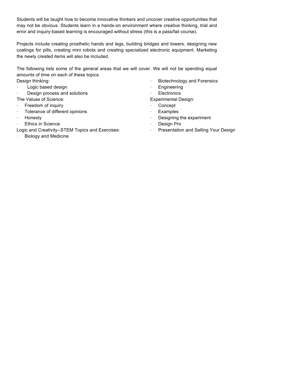Students will be taught how to become innovative thinkers and uncover creative opportunities that may not be obvious. Students learn in a hands-on environment where creative thinking, trial and error and inquiry-based learning is encouraged without stress (this is a pass/fail course).

Projects include creating prosthetic hands and legs, building bridges and towers, designing new coatings for pills, creating mini robots and creating specialized electronic equipment. Marketing the newly created items will also be included.

The following lists some of the general areas that we will cover. We will not be spending equal amounts of time on each of these topics.

Design thinking:

- · Logic based design
- Design process and solutions
- The Values of Science:
- · Freedom of inquiry
- · Tolerance of different opinions
- · Honesty
- · Ethics in Science
- Logic and Creativity--STEM Topics and Exercises:
- **Biology and Medicine**
- · Biotechnology and Forensics
- · Engineering
- **Electronics**
- Experimental Design:
- · Concept
- · Examples
- Designing the experiment
- · Design Pro
- · Presentation and Selling Your Design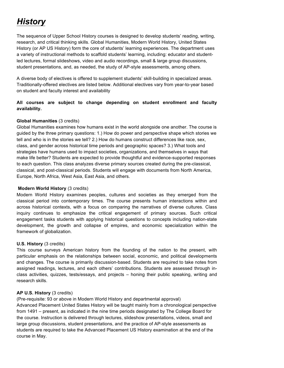# *History*

The sequence of Upper School History courses is designed to develop students' reading, writing, research, and critical thinking skills. Global Humanities, Modern World History, United States History (or AP US History) form the core of students' learning experiences. The department uses a variety of instructional methods to scaffold students' learning, including: educator and studentled lectures, formal slideshows, video and audio recordings, small & large group discussions, student presentations, and, as needed, the study of AP-style assessments, among others.

A diverse body of electives is offered to supplement students' skill-building in specialized areas. Traditionally-offered electives are listed below. Additional electives vary from year-to-year based on student and faculty interest and availability

# **All courses are subject to change depending on student enrollment and faculty availability.**

# **Global Humanities** (3 credits)

Global Humanities examines how humans exist in the world alongside one another. The course is guided by the three primary questions: 1.) How do power and perspective shape which stories we tell and who is in the stories we tell? 2.) How do humans construct differences like race, sex, class, and gender across historical time periods and geographic spaces? 3.) What tools and strategies have humans used to impact societies, organizations, and themselves in ways that make life better? Students are expected to provide thoughtful and evidence-supported responses to each question. This class analyzes diverse primary sources created during the pre-classical, classical, and post-classical periods. Students will engage with documents from North America, Europe, North Africa, West Asia, East Asia, and others.

# **Modern World History** (3 credits)

Modern World History examines peoples, cultures and societies as they emerged from the classical period into contemporary times. The course presents human interactions within and across historical contexts, with a focus on comparing the narratives of diverse cultures. Class inquiry continues to emphasize the critical engagement of primary sources. Such critical engagement tasks students with applying historical questions to concepts including nation-state development, the growth and collapse of empires, and economic specialization within the framework of globalization.

# **U.S. History** (3 credits)

This course surveys American history from the founding of the nation to the present, with particular emphasis on the relationships between social, economic, and political developments and changes. The course is primarily discussion-based. Students are required to take notes from assigned readings, lectures, and each others' contributions. Students are assessed through inclass activities, quizzes, tests/essays, and projects – honing their public speaking, writing and research skills.

# **AP U.S. History** (3 credits)

(Pre-requisite: 93 or above in Modern World History and departmental approval) Advanced Placement United States History will be taught mainly from a chronological perspective from 1491 – present, as indicated in the nine time periods designated by The College Board for the course. Instruction is delivered through lectures, slideshow presentations, videos, small and large group discussions, student presentations, and the practice of AP-style assessments as students are required to take the Advanced Placement US History examination at the end of the course in May.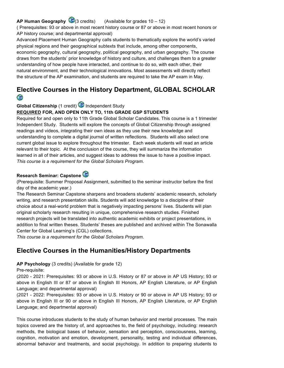# **AP Human Geography** (3 credits) (Available for grades 10 – 12)

( Prerequisites: 93 or above in most recent history course or 87 or above in most recent honors or AP history course; and departmental approval)

Advanced Placement Human Geography calls students to thematically explore the world's varied physical regions and their geographical subtexts that include, among other components, economic geography, cultural geography, political geography, and urban geography. The course draws from the students' prior knowledge of history and culture, and challenges them to a greater understanding of how people have interacted, and continue to do so, with each other, their natural environment, and their technological innovations. Most assessments will directly reflect the structure of the AP examination, and students are required to take the AP exam in May.

# **Elective Courses in the History Department, GLOBAL SCHOLAR CALL AND**

**Global Citizenship** (1 credit) Independent Study

# **REQUIRED FOR, AND OPEN ONLY TO, 11th GRADE GSP STUDENTS**

Required for and open only to 11th Grade Global Scholar Candidates. This course is a 1 trimester Independent Study. Students will explore the concepts of Global Citizenship through assigned readings and videos, integrating their own ideas as they use their new knowledge and understanding to complete a digital journal of written reflections. Students will also select one current global issue to explore throughout the trimester. Each week students will read an article relevant to their topic. At the conclusion of the course, they will summarize the information learned in all of their articles, and suggest ideas to address the issue to have a positive impact. *This course is a requirement for the Global Scholars Program.*

# **Research Seminar: Capstone**

(Prerequisite: Summer Proposal Assignment, submitted to the seminar instructor before the first day of the academic year.)

The Research Seminar Capstone sharpens and broadens students' academic research, scholarly writing, and research presentation skills. Students will add knowledge to a discipline of their choice about a real-world problem that is negatively impacting persons' lives. Students will plan original scholarly research resulting in unique, comprehensive research studies. Finished research projects will be translated into authentic academic exhibits or project presentations, in addition to final written theses. Students' theses are published and archived within The Sonawalla Center for Global Learning's (CGL) collections.

*This course is a requirement for the Global Scholars Program.*

# **Elective Courses in the Humanities/History Departments**

**AP Psychology** (3 credits) (Available for grade 12)

Pre-requisite:

(2020 - 2021: Prerequisites: 93 or above in U.S. History or 87 or above in AP US History; 93 or above in English III or 87 or above in English III Honors, AP English Literature, or AP English Language; and departmental approval)

(2021 - 2022: Prerequisites: 93 or above in U.S. History or 90 or above in AP US History; 93 or above in English III or 90 or above in English III Honors, AP English Literature, or AP English Language; and departmental approval)

This course introduces students to the study of human behavior and mental processes. The main topics covered are the history of, and approaches to, the field of psychology, including: research methods, the biological bases of behavior, sensation and perception, consciousness, learning, cognition, motivation and emotion, development, personality, testing and individual differences, abnormal behavior and treatments, and social psychology. In addition to preparing students to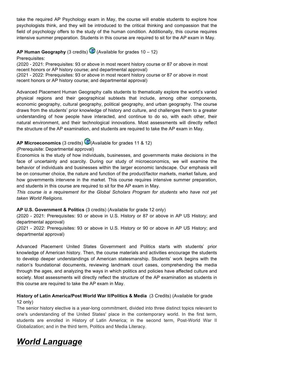take the required AP Psychology exam in May, the course will enable students to explore how psychologists think, and they will be introduced to the critical thinking and compassion that the field of psychology offers to the study of the human condition. Additionally, this course requires intensive summer preparation. Students in this course are required to sit for the AP exam in May.

**AP Human Geography** (3 credits) (Available for grades 10 – 12)

Prerequisites:

(2020 - 2021: Prerequisites: 93 or above in most recent history course or 87 or above in most recent honors or AP history course; and departmental approval) (2021 - 2022: Prerequisites: 93 or above in most recent history course or 87 or above in most recent honors or AP history course; and departmental approval)

Advanced Placement Human Geography calls students to thematically explore the world's varied physical regions and their geographical subtexts that include, among other components, economic geography, cultural geography, political geography, and urban geography. The course draws from the students' prior knowledge of history and culture, and challenges them to a greater understanding of how people have interacted, and continue to do so, with each other, their natural environment, and their technological innovations. Most assessments will directly reflect the structure of the AP examination, and students are required to take the AP exam in May.

# **AP Microeconomics** (3 credits) (Available for grades 11 & 12)

# (Prerequisite: Departmental approval)

Economics is the study of how individuals, businesses, and governments make decisions in the face of uncertainty and scarcity. During our study of microeconomics, we will examine the behavior of individuals and businesses within the larger economic landscape. Our emphasis will be on consumer choice, the nature and function of the product/factor markets, market failure, and how governments intervene in the market. This course requires intensive summer preparation, and students in this course are required to sit for the AP exam in May.

*This course is a requirement for the Global Scholars Program for students who have not yet taken World Religions.*

# **AP U.S. Government & Politics** (3 credits) (Available for grade 12 only)

(2020 - 2021: Prerequisites: 93 or above in U.S. History or 87 or above in AP US History; and departmental approval)

(2021 - 2022: Prerequisites: 93 or above in U.S. History or 90 or above in AP US History; and departmental approval)

Advanced Placement United States Government and Politics starts with students' prior knowledge of American history. Then, the course materials and activities encourage the students to develop deeper understandings of American statesmanship. Students' work begins with the nation's foundational documents, reviewing landmark court cases, comprehending the media through the ages, and analyzing the ways in which politics and policies have affected culture and society. Most assessments will directly reflect the structure of the AP examination as students in this course are required to take the AP exam in May.

# **History of Latin America/Post World War II/Politics & Media** (3 Credits) (Available for grade 12 only)

The senior history elective is a year-long commitment, divided into three distinct topics relevant to one's understanding of the United States' place in the contemporary world. In the first term, students are enrolled in History of Latin America; in the second term, Post-World War II Globalization; and in the third term, Politics and Media Literacy.

# *World Language*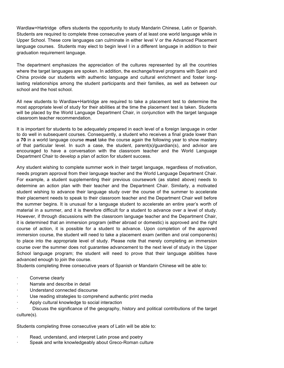Wardlaw+Hartridge offers students the opportunity to study Mandarin Chinese, Latin or Spanish. Students are required to complete three consecutive years of at least one world language while in Upper School. These core languages can culminate in either level V or the Advanced Placement language courses. Students may elect to begin level I in a different language in addition to their graduation requirement language.

The department emphasizes the appreciation of the cultures represented by all the countries where the target languages are spoken. In addition, the exchange/travel programs with Spain and China provide our students with authentic language and cultural enrichment and foster longlasting relationships among the student participants and their families, as well as between our school and the host school.

All new students to Wardlaw+Hartridge are required to take a placement test to determine the most appropriate level of study for their abilities at the time the placement test is taken. Students will be placed by the World Language Department Chair, in conjunction with the target language classroom teacher recommendation.

It is important for students to be adequately prepared in each level of a foreign language in order to do well in subsequent courses. Consequently, a student who receives a final grade lower than a **70** in a world language course **must** take the course again the following year to show mastery of that particular level. In such a case, the student, parent(s)/guardian(s), and advisor are encouraged to have a conversation with the classroom teacher and the World Language Department Chair to develop a plan of action for student success.

Any student wishing to complete summer work in their target language, regardless of motivation, needs program approval from their language teacher and the World Language Department Chair. For example, a student supplementing their previous coursework (as stated above) needs to determine an action plan with their teacher and the Department Chair. Similarly, a motivated student wishing to advance their language study over the course of the summer to accelerate their placement needs to speak to their classroom teacher and the Department Chair well before the summer begins. It is unusual for a language student to accelerate an entire year's worth of material in a summer, and it is therefore difficult for a student to advance over a level of study. However, if through discussions with the classroom language teacher and the Department Chair, it is determined that an immersion program (either abroad or domestic) is approved and the right course of action, it is possible for a student to advance. Upon completion of the approved immersion course, the student will need to take a placement exam (written and oral components) to place into the appropriate level of study. Please note that merely completing an immersion course over the summer does not guarantee advancement to the next level of study in the Upper School language program; the student will need to prove that their language abilities have advanced enough to join the course.

Students completing three consecutive years of Spanish or Mandarin Chinese will be able to:

- Converse clearly
- Narrate and describe in detail
- Understand connected discourse
- Use reading strategies to comprehend authentic print media
- Apply cultural knowledge to social interaction

Discuss the significance of the geography, history and political contributions of the target culture(s).

Students completing three consecutive years of Latin will be able to:

- Read, understand, and interpret Latin prose and poetry
- Speak and write knowledgeably about Greco-Roman culture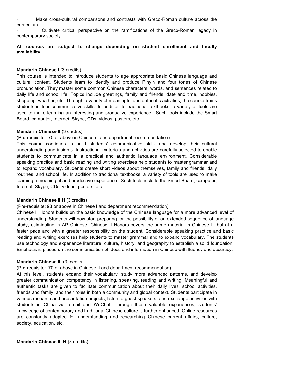· Make cross-cultural comparisons and contrasts with Greco-Roman culture across the curriculum

· Cultivate critical perspective on the ramifications of the Greco-Roman legacy in contemporary society

### **All courses are subject to change depending on student enrollment and faculty availability.**

#### **Mandarin Chinese I** (3 credits)

This course is intended to introduce students to age appropriate basic Chinese language and cultural content. Students learn to identify and produce Pinyin and four tones of Chinese pronunciation. They master some common Chinese characters, words, and sentences related to daily life and school life. Topics include greetings, family and friends, date and time, hobbies, shopping, weather, etc. Through a variety of meaningful and authentic activities, the course trains students in four communicative skills. In addition to traditional textbooks, a variety of tools are used to make learning an interesting and productive experience. Such tools include the Smart Board, computer, Internet, Skype, CDs, videos, posters, etc.

#### **Mandarin Chinese II (3 credits)**

(Pre-requisite: 70 or above in Chinese I and department recommendation)

This course continues to build students' communicative skills and develop their cultural understanding and insights. Instructional materials and activities are carefully selected to enable students to communicate in a practical and authentic language environment. Considerable speaking practice and basic reading and writing exercises help students to master grammar and to expand vocabulary. Students create short videos about themselves, family and friends, daily routines, and school life. In addition to traditional textbooks, a variety of tools are used to make learning a meaningful and productive experience. Such tools include the Smart Board, computer, Internet, Skype, CDs, videos, posters, etc.

### **Mandarin Chinese II H (3 credits)**

(Pre-requisite: 93 or above in Chinese I and department recommendation)

Chinese II Honors builds on the basic knowledge of the Chinese language for a more advanced level of understanding. Students will now start preparing for the possibility of an extended sequence of language study, culminating in AP Chinese. Chinese II Honors covers the same material in Chinese II, but at a faster pace and with a greater responsibility on the student. Considerable speaking practice and basic reading and writing exercises help students to master grammar and to expand vocabulary. The students use technology and experience literature, culture, history, and geography to establish a solid foundation. Emphasis is placed on the communication of ideas and information in Chinese with fluency and accuracy.

### **Mandarin Chinese III** (3 credits)

### (Pre-requisite: 70 or above in Chinese II and department recommendation)

At this level, students expand their vocabulary, study more advanced patterns, and develop greater communication competency in listening, speaking, reading and writing. Meaningful and authentic tasks are given to facilitate communication about their daily lives, school activities, friends and family, and their roles in both a community and global context. Students participate in various research and presentation projects, listen to guest speakers, and exchange activities with students in China via e-mail and WeChat. Through these valuable experiences, students' knowledge of contemporary and traditional Chinese culture is further enhanced. Online resources are constantly adapted for understanding and researching Chinese current affairs, culture, society, education, etc.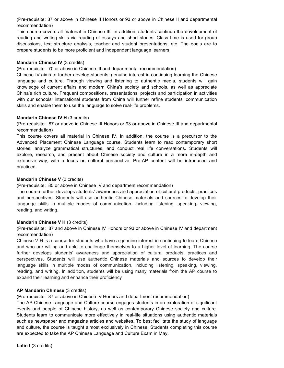(Pre-requisite: 87 or above in Chinese II Honors or 93 or above in Chinese II and departmental recommendation)

This course covers all material in Chinese III. In addition, students continue the development of reading and writing skills via reading of essays and short stories. Class time is used for group discussions, text structure analysis, teacher and student presentations, etc. The goals are to prepare students to be more proficient and independent language learners.

### **Mandarin Chinese IV (3 credits)**

(Pre-requisite: 70 or above in Chinese III and departmental recommendation)

Chinese IV aims to further develop students' genuine interest in continuing learning the Chinese language and culture. Through viewing and listening to authentic media, students will gain knowledge of current affairs and modern China's society and schools, as well as appreciate China's rich culture. Frequent compositions, presentations, projects and participation in activities with our schools' international students from China will further refine students' communication skills and enable them to use the language to solve real-life problems.

### **Mandarin Chinese IV H (3 credits)**

(Pre-requisite: 87 or above in Chinese III Honors or 93 or above in Chinese III and departmental recommendation)

This course covers all material in Chinese IV. In addition, the course is a precursor to the Advanced Placement Chinese Language course. Students learn to read contemporary short stories, analyze grammatical structures, and conduct real life conversations. Students will explore, research, and present about Chinese society and culture in a more in-depth and extensive way, with a focus on cultural perspective. Pre-AP content will be introduced and practiced.

# **Mandarin Chinese V** (3 credits)

(Pre-requisite: 85 or above in Chinese IV and department recommendation)

The course further develops students' awareness and appreciation of cultural products, practices and perspectives. Students will use authentic Chinese materials and sources to develop their language skills in multiple modes of communication, including listening, speaking, viewing, reading, and writing.

### **Mandarin Chinese V H** (3 credits)

(Pre-requisite: 87 and above in Chinese IV Honors or 93 or above in Chinese IV and department recommendation)

Chinese V H is a course for students who have a genuine interest in continuing to learn Chinese and who are willing and able to challenge themselves to a higher level of learning. The course further develops students' awareness and appreciation of cultural products, practices and perspectives. Students will use authentic Chinese materials and sources to develop their language skills in multiple modes of communication, including listening, speaking, viewing, reading, and writing. In addition, students will be using many materials from the AP course to expand their learning and enhance their proficiency

# **AP Mandarin Chinese** (3 credits)

(Pre-requisite: 87 or above in Chinese IV Honors and department recommendation)

The AP Chinese Language and Culture course engages students in an exploration of significant events and people of Chinese history, as well as contemporary Chinese society and culture. Students learn to communicate more effectively in real-life situations using authentic materials such as newspaper and magazine articles and websites. To best facilitate the study of language and culture, the course is taught almost exclusively in Chinese. Students completing this course are expected to take the AP Chinese Language and Culture Exam in May.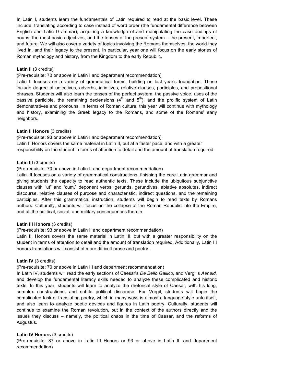In Latin I, students learn the fundamentals of Latin required to read at the basic level. These include: translating according to case instead of word order (the fundamental difference between English and Latin Grammar), acquiring a knowledge of and manipulating the case endings of nouns, the most basic adjectives, and the tenses of the present system – the present, imperfect, and future. We will also cover a variety of topics involving the Romans themselves, the world they lived in, and their legacy to the present. In particular, year one will focus on the early stories of Roman mythology and history, from the Kingdom to the early Republic.

### Latin II (3 credits)

(Pre-requisite: 70 or above in Latin I and department recommendation)

Latin II focuses on a variety of grammatical forms, building on last year's foundation. These include degree of adjectives, adverbs, infinitives, relative clauses, participles, and prepositional phrases. Students will also learn the tenses of the perfect system, the passive voice, uses of the passive participle, the remaining declensions  $(4<sup>th</sup>$  and  $5<sup>th</sup>)$ , and the prolific system of Latin demonstratives and pronouns. In terms of Roman culture, this year will continue with mythology and history, examining the Greek legacy to the Romans, and some of the Romans' early neighbors.

### **Latin II Honors** (3 credits)

(Pre-requisite: 93 or above in Latin I and department recommendation)

Latin II Honors covers the same material in Latin II, but at a faster pace, and with a greater responsibility on the student in terms of attention to detail and the amount of translation required.

#### Latin III (3 credits)

(Pre-requisite: 70 or above in Latin II and department recommendation)

Latin III focuses on a variety of grammatical constructions, finishing the core Latin grammar and giving students the capacity to read authentic texts. These include the ubiquitous subjunctive clauses with "ut" and "cum," deponent verbs, gerunds, gerundives, ablative absolutes, indirect discourse, relative clauses of purpose and characteristic, indirect questions, and the remaining participles. After this grammatical instruction, students will begin to read texts by Romans authors. Culturally, students will focus on the collapse of the Roman Republic into the Empire, and all the political, social, and military consequences therein.

### **Latin III Honors** (3 credits)

(Pre-requisite: 93 or above in Latin II and department recommendation)

Latin III Honors covers the same material in Latin III, but with a greater responsibility on the student in terms of attention to detail and the amount of translation required. Additionally, Latin III honors translations will consist of more difficult prose and poetry.

### **Latin IV** (3 credits)

(Pre-requisite: 70 or above in Latin III and department recommendation)

In Latin IV, students will read the early sections of Caesar's *De Bello Gallico,* and Vergil's *Aeneid,*  and develop the fundamental literacy skills needed to analyze these complicated and historic texts. In this year, students will learn to analyze the rhetorical style of Caesar, with his long, complex constructions, and subtle political discourse. For Vergil, students will begin the complicated task of translating poetry, which in many ways is almost a language style unto itself, and also learn to analyze poetic devices and figures in Latin poetry. Culturally, students will continue to examine the Roman revolution, but in the context of the authors directly and the issues they discuss – namely, the political chaos in the time of Caesar, and the reforms of Augustus.

### **Latin IV Honors** (3 credits)

(Pre-requisite: 87 or above in Latin III Honors or 93 or above in Latin III and department recommendation)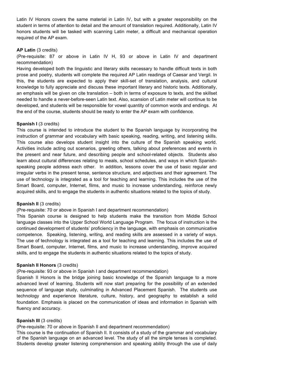Latin IV Honors covers the same material in Latin IV, but with a greater responsibility on the student in terms of attention to detail and the amount of translation required. Additionally, Latin IV honors students will be tasked with scanning Latin meter, a difficult and mechanical operation required of the AP exam.

### **AP Latin** (3 credits)

(Pre-requisite: 87 or above in Latin IV H, 93 or above in Latin IV and department recommendation)

Having developed both the linguistic and literary skills necessary to handle difficult texts in both prose and poetry, students will complete the required AP Latin readings of Caesar and Vergil. In this, the students are expected to apply their skill-set of translation, analysis, and cultural knowledge to fully appreciate and discuss these important literary and historic texts. Additionally, an emphasis will be given on cite translation – both in terms of exposure to texts, and the skillset needed to handle a never-before-seen Latin text. Also, scansion of Latin meter will continue to be developed, and students will be responsible for vowel quantity of common words and endings. At the end of the course, students should be ready to enter the AP exam with confidence.

### **Spanish I** (3 credits)

This course is intended to introduce the student to the Spanish language by incorporating the instruction of grammar and vocabulary with basic speaking, reading, writing, and listening skills. This course also develops student insight into the culture of the Spanish speaking world. Activities include acting out scenarios, greeting others, talking about preferences and events in the present and near future, and describing people and school-related objects. Students also learn about cultural differences relating to meals, school schedules, and ways in which Spanishspeaking people address each other. In addition, lessons cover the use of basic regular and irregular verbs in the present tense, sentence structure, and adjectives and their agreement. The use of technology is integrated as a tool for teaching and learning. This includes the use of the Smart Board, computer, Internet, films, and music to increase understanding, reinforce newly acquired skills, and to engage the students in authentic situations related to the topics of study.

### **Spanish II** (3 credits)

### (Pre-requisite: 70 or above in Spanish I and department recommendation)

This Spanish course is designed to help students make the transition from Middle School language classes into the Upper School World Language Program. The focus of instruction is the continued development of students' proficiency in the language, with emphasis on communicative competence. Speaking, listening, writing, and reading skills are assessed in a variety of ways. The use of technology is integrated as a tool for teaching and learning. This includes the use of Smart Board, computer, Internet, films, and music to increase understanding, improve acquired skills, and to engage the students in authentic situations related to the topics of study.

### **Spanish II Honors (3 credits)**

### (Pre-requisite: 93 or above in Spanish I and department recommendation)

Spanish II Honors is the bridge joining basic knowledge of the Spanish language to a more advanced level of learning. Students will now start preparing for the possibility of an extended sequence of language study, culminating in Advanced Placement Spanish. The students use technology and experience literature, culture, history, and geography to establish a solid foundation. Emphasis is placed on the communication of ideas and information in Spanish with fluency and accuracy.

# **Spanish III (3 credits)**

(Pre-requisite: 70 or above in Spanish II and department recommendation)

This course is the continuation of Spanish II. It consists of a study of the grammar and vocabulary of the Spanish language on an advanced level. The study of all the simple tenses is completed. Students develop greater listening comprehension and speaking ability through the use of daily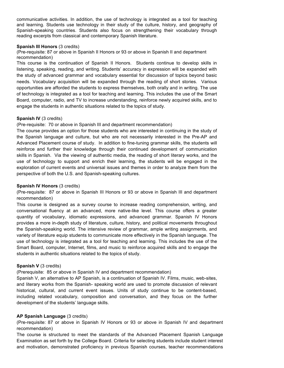communicative activities. In addition, the use of technology is integrated as a tool for teaching and learning. Students use technology in their study of the culture, history, and geography of Spanish-speaking countries. Students also focus on strengthening their vocabulary through reading excerpts from classical and contemporary Spanish literature.

### **Spanish III Honors** (3 credits)

(Pre-requisite: 87 or above in Spanish II Honors or 93 or above in Spanish II and department recommendation)

This course is the continuation of Spanish II Honors. Students continue to develop skills in listening, speaking, reading, and writing. Students' accuracy in expression will be expanded with the study of advanced grammar and vocabulary essential for discussion of topics beyond basic needs. Vocabulary acquisition will be expanded through the reading of short stories. Various opportunities are afforded the students to express themselves, both orally and in writing. The use of technology is integrated as a tool for teaching and learning. This includes the use of the Smart Board, computer, radio, and TV to increase understanding, reinforce newly acquired skills, and to engage the students in authentic situations related to the topics of study.

### **Spanish IV** (3 credits)

(Pre-requisite: 70 or above in Spanish III and department recommendation)

The course provides an option for those students who are interested in continuing in the study of the Spanish language and culture, but who are not necessarily interested in the Pre-AP and Advanced Placement course of study. In addition to fine-tuning grammar skills, the students will reinforce and further their knowledge through their continued development of communication skills in Spanish. Via the viewing of authentic media, the reading of short literary works, and the use of technology to support and enrich their learning, the students will be engaged in the exploration of current events and universal issues and themes in order to analyze them from the perspective of both the U.S. and Spanish-speaking cultures.

### **Spanish IV Honors (3 credits)**

(Pre-requisite: 87 or above in Spanish III Honors or 93 or above in Spanish III and department recommendation)

This course is designed as a survey course to increase reading comprehension, writing, and conversational fluency at an advanced, more native-like level. This course offers a greater quantity of vocabulary, idiomatic expressions, and advanced grammar. Spanish IV Honors provides a more in-depth study of literature, culture, history, and political movements throughout the Spanish-speaking world. The intensive review of grammar, ample writing assignments, and variety of literature equip students to communicate more effectively in the Spanish language. The use of technology is integrated as a tool for teaching and learning. This includes the use of the Smart Board, computer, Internet, films, and music to reinforce acquired skills and to engage the students in authentic situations related to the topics of study.

### **Spanish V** (3 credits)

(Prerequisite: 85 or above in Spanish IV and department recommendation)

Spanish V, an alternative to AP Spanish, is a continuation of Spanish IV. Films, music, web-sites, and literary works from the Spanish- speaking world are used to promote discussion of relevant historical, cultural, and current event issues. Units of study continue to be content-based, including related vocabulary, composition and conversation, and they focus on the further development of the students' language skills.

### **AP Spanish Language** (3 credits)

(Pre-requisite: 87 or above in Spanish IV Honors or 93 or above in Spanish IV and department recommendation)

The course is structured to meet the standards of the Advanced Placement Spanish Language Examination as set forth by the College Board. Criteria for selecting students include student interest and motivation, demonstrated proficiency in previous Spanish courses, teacher recommendations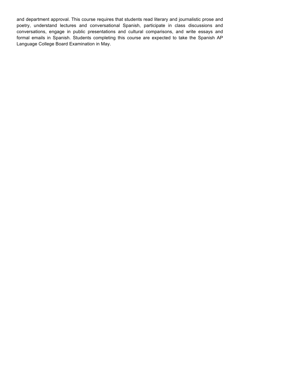and department approval. This course requires that students read literary and journalistic prose and poetry, understand lectures and conversational Spanish, participate in class discussions and conversations, engage in public presentations and cultural comparisons, and write essays and formal emails in Spanish. Students completing this course are expected to take the Spanish AP Language College Board Examination in May.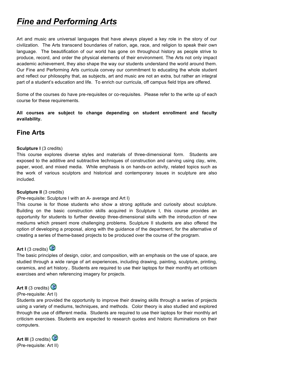# *Fine and Performing Arts*

Art and music are universal languages that have always played a key role in the story of our civilization. The Arts transcend boundaries of nation, age, race, and religion to speak their own language. The beautification of our world has gone on throughout history as people strive to produce, record, and order the physical elements of their environment. The Arts not only impact academic achievement, they also shape the way our students understand the world around them. Our Fine and Performing Arts curricula convey our commitment to educating the whole student and reflect our philosophy that, as subjects, art and music are not an extra, but rather an integral part of a student's education and life. To enrich our curricula, off campus field trips are offered.

Some of the courses do have pre-requisites or co-requisites. Please refer to the write up of each course for these requirements.

**All courses are subject to change depending on student enrollment and faculty availability.**

# **Fine Arts**

# **Sculpture I** (3 credits)

This course explores diverse styles and materials of three-dimensional form. Students are exposed to the additive and subtractive techniques of construction and carving using clay, wire, paper, wood, and mixed media. While emphasis is on hands-on activity, related topics such as the work of various sculptors and historical and contemporary issues in sculpture are also included.

### **Sculpture II (3 credits)**

### (Pre-requisite: Sculpture I with an A- average and Art I)

This course is for those students who show a strong aptitude and curiosity about sculpture. Building on the basic construction skills acquired in Sculpture I, this course provides an opportunity for students to further develop three-dimensional skills with the introduction of new mediums which present more challenging problems. Sculpture II students are also offered the option of developing a proposal, along with the guidance of the department, for the alternative of creating a series of theme-based projects to be produced over the course of the program.

# **Art I** (3 credits)

The basic principles of design, color, and composition, with an emphasis on the use of space, are studied through a wide range of art experiences, including drawing, painting, sculpture, printing, ceramics, and art history.. Students are required to use their laptops for their monthly art criticism exercises and when referencing imagery for projects.



### (Pre-requisite: Art I)

Students are provided the opportunity to improve their drawing skills through a series of projects using a variety of mediums, techniques, and methods. Color theory is also studied and explored through the use of different media. Students are required to use their laptops for their monthly art criticism exercises. Students are expected to research quotes and historic illuminations on their computers.

**Art III** (3 credits) (Pre-requisite: Art II)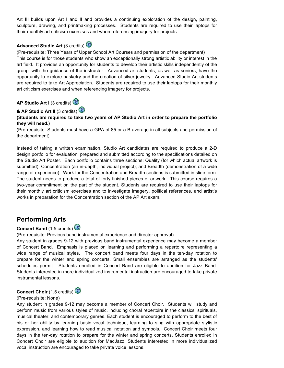Art III builds upon Art I and II and provides a continuing exploration of the design, painting, sculpture, drawing, and printmaking processes. Students are required to use their laptops for their monthly art criticism exercises and when referencing imagery for projects.



(Pre-requisite: Three Years of Upper School Art Courses and permission of the department) This course is for those students who show an exceptionally strong artistic ability or interest in the art field. It provides an opportunity for students to develop their artistic skills independently of the group, with the guidance of the instructor. Advanced art students, as well as seniors, have the opportunity to explore basketry and the creation of silver jewelry. Advanced Studio Art students are required to take Art Appreciation. Students are required to use their laptops for their monthly art criticism exercises and when referencing imagery for projects.

**AP Studio Art I** (3 credits)

**& AP Studio Art II** (3 credits)

**(Students are required to take two years of AP Studio Art in order to prepare the portfolio they will need.)**

(Pre-requisite: Students must have a GPA of 85 or a B average in all subjects and permission of the department)

Instead of taking a written examination, Studio Art candidates are required to produce a 2-D design portfolio for evaluation, prepared and submitted according to the specifications detailed on the Studio Art Poster. Each portfolio contains three sections: Quality (for which actual artwork is submitted); Concentration (an in-depth, individual project); and Breadth (demonstration of a wide range of experience). Work for the Concentration and Breadth sections is submitted in slide form. The student needs to produce a total of forty finished pieces of artwork. This course requires a two-year commitment on the part of the student. Students are required to use their laptops for their monthly art criticism exercises and to investigate imagery, political references, and artist's works in preparation for the Concentration section of the AP Art exam.

# **Performing Arts**

# **Concert Band** (1.5 credits)

(Pre-requisite: Previous band instrumental experience and director approval)

Any student in grades 9-12 with previous band instrumental experience may become a member of Concert Band. Emphasis is placed on learning and performing a repertoire representing a wide range of musical styles. The concert band meets four days in the ten-day rotation to prepare for the winter and spring concerts. Small ensembles are arranged as the students' schedules permit. Students enrolled in Concert Band are eligible to audition for Jazz Band. Students interested in more individualized instrumental instruction are encouraged to take private instrumental lessons.



### (Pre-requisite: None)

Any student in grades 9-12 may become a member of Concert Choir. Students will study and perform music from various styles of music, including choral repertoire in the classics, spirituals, musical theater, and contemporary genres. Each student is encouraged to perform to the best of his or her ability by learning basic vocal technique, learning to sing with appropriate stylistic expression, and learning how to read musical notation and symbols. Concert Choir meets four days in the ten-day rotation to prepare for the winter and spring concerts. Students enrolled in Concert Choir are eligible to audition for MadJazz. Students interested in more individualized vocal instruction are encouraged to take private voice lessons.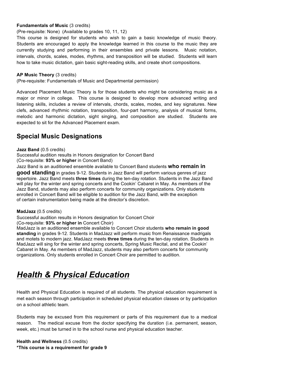# **Fundamentals of Music (3 credits)**

(Pre-requisite: None) (Available to grades 10, 11, 12)

This course is designed for students who wish to gain a basic knowledge of music theory. Students are encouraged to apply the knowledge learned in this course to the music they are currently studying and performing in their ensembles and private lessons. Music notation, intervals, chords, scales, modes, rhythms, and transposition will be studied. Students will learn how to take music dictation, gain basic sight-reading skills, and create short compositions.

### **AP Music Theory** (3 credits)

(Pre-requisite: Fundamentals of Music and Departmental permission)

Advanced Placement Music Theory is for those students who might be considering music as a major or minor in college. This course is designed to develop more advanced writing and listening skills, includes a review of intervals, chords, scales, modes, and key signatures. New clefs, advanced rhythmic notation, transposition, four-part harmony, analysis of musical forms, melodic and harmonic dictation, sight singing, and composition are studied. Students are expected to sit for the Advanced Placement exam.

# **Special Music Designations**

#### **Jazz Band** (0.5 credits)

Successful audition results in Honors designation for Concert Band (Co-requisite: **93% or higher** in Concert Band)

Jazz Band is an auditioned ensemble available to Concert Band students **who remain in good standing** in grades 9-12. Students in Jazz Band will perform various genres of jazz repertoire. Jazz Band meets **three times** during the ten-day rotation. Students in the Jazz Band will play for the winter and spring concerts and the Cookin' Cabaret in May. As members of the Jazz Band, students may also perform concerts for community organizations. Only students enrolled in Concert Band will be eligible to audition for the Jazz Band, with the exception of certain instrumentation being made at the director's discretion.

### **MadJazz** (0.5 credits)

Successful audition results in Honors designation for Concert Choir

(Co-requisite: **93% or higher in** Concert Choir)

MadJazz is an auditioned ensemble available to Concert Choir students **who remain in good standing** in grades 9-12. Students in MadJazz will perform music from Renaissance madrigals and motets to modern jazz. MadJazz meets **three times** during the ten-day rotation. Students in MadJazz will sing for the winter and spring concerts, Spring Music Recital, and at the Cookin' Cabaret in May. As members of MadJazz, students may also perform concerts for community organizations. Only students enrolled in Concert Choir are permitted to audition.

# *Health & Physical Education*

Health and Physical Education is required of all students. The physical education requirement is met each season through participation in scheduled physical education classes or by participation on a school athletic team.

Students may be excused from this requirement or parts of this requirement due to a medical reason. The medical excuse from the doctor specifying the duration (i.e. permanent, season, week, etc.) must be turned in to the school nurse and physical education teacher.

**Health and Wellness** (0.5 credits) **\*This course is a requirement for grade 9**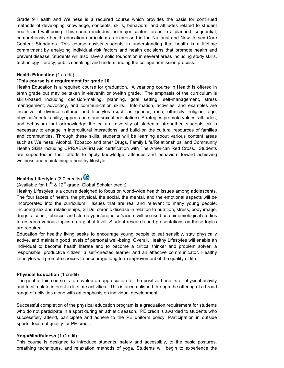Grade 9 Health and Wellness is a required course which provides the basis for continued methods of developing knowledge, concepts, skills, behaviors, and attitudes related to student health and well-being. This course includes the major content areas in a planned, sequential, comprehensive health education curriculum as expressed in the National and New Jersey Core Content Standards. This course assists students in understanding that health is a lifetime commitment by analyzing individual risk factors and health decisions that promote health and prevent disease. Students will also have a solid foundation in several areas including study skills, technology literacy, public speaking, and understanding the college admission process.

#### **Health Education (1 credit)**

#### **\*This course is a requirement for grade 10**

Health Education is a required course for graduation. A yearlong course in Health is offered in tenth grade but may be taken in eleventh or twelfth grade. The emphasis of the curriculum is skills-based including decision-making, planning, goal setting, self-management, stress management, advocacy, and communication skills. Information, activities, and examples are inclusive of diverse cultures and lifestyles (such as gender, race, ethnicity, religion, age, physical/mental ability, appearance, and sexual orientation). Strategies promote values, attitudes, and behaviors that acknowledge the cultural diversity of students; strengthen students' skills necessary to engage in intercultural interactions; and build on the cultural resources of families and communities. Through these skills, students will be learning about various content areas such as Wellness, Alcohol, Tobacco and other Drugs, Family Life/Relationships, and Community Health Skills including CPR/AED/First Aid certification with The American Red Cross. Students are supported in their efforts to apply knowledge, attitudes and behaviors toward achieving wellness and maintaining a healthy lifestyle.

# **Healthy Lifestyles** (3.0 credits)



Healthy Lifestyles is a course designed to focus on world-wide health issues among adolescents. The four facets of health, the physical, the social, the mental, and the emotional aspects will be incorporated into the curriculum. Issues that are real and relevant to many young people, including sex and relationships, STDs, chronic disease in relation to nutrition, stress, body image, drugs, alcohol, tobacco, and stereotypes/prejudice/racism will be used as epidemiological studies to research various topics on a global level. Student research and presentations on these topics are required.

Education for healthy living seeks to encourage young people to eat sensibly, stay physically active, and maintain good levels of personal well-being. Overall, Healthy Lifestyles will enable an individual to become health literate and to become a critical thinker and problem solver, a responsible, productive citizen, a self-directed learner and an effective communicator. Healthy Lifestyles will promote choices to encourage long term improvement of the quality of life.

#### **Physical Education (1 credit)**

The goal of this course is to develop an appreciation for the positive benefits of physical activity and to stimulate interest in lifetime activities. This is accomplished through the offering of a broad range of activities along with an emphasis on individual development.

Successful completion of the physical education program is a graduation requirement for students who do not participate in a sport during an athletic season. PE credit is awarded to students who successfully attend, participate and adhere to the PE uniform policy. Participation in outside sports does not qualify for PE credit.

#### **Yoga/Mindfulness** (1 Credit)

This course is designed to introduce students, safely and accessibly, to the basic postures, breathing techniques, and relaxation methods of yoga. Students will begin to experience the